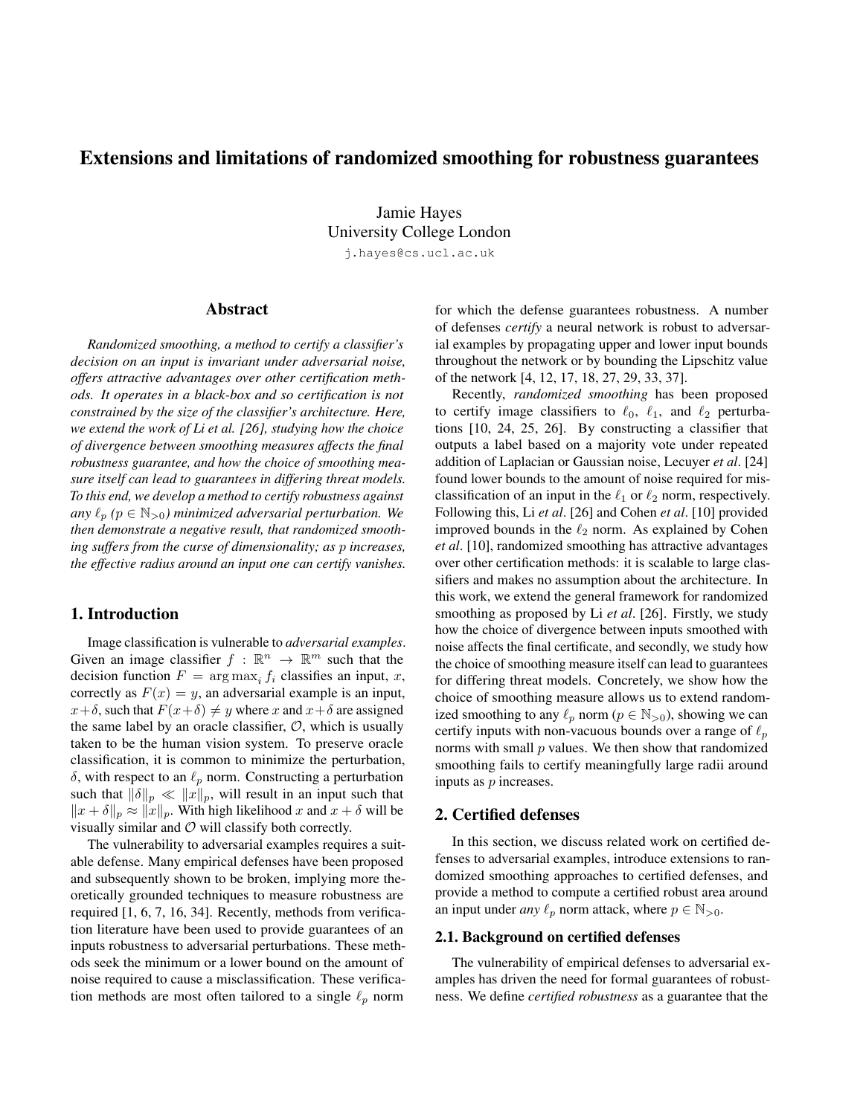# Extensions and limitations of randomized smoothing for robustness guarantees

Jamie Hayes University College London

j.hayes@cs.ucl.ac.uk

# Abstract

*Randomized smoothing, a method to certify a classifier's decision on an input is invariant under adversarial noise, offers attractive advantages over other certification methods. It operates in a black-box and so certification is not constrained by the size of the classifier's architecture. Here, we extend the work of Li et al. [26], studying how the choice of divergence between smoothing measures affects the final robustness guarantee, and how the choice of smoothing measure itself can lead to guarantees in differing threat models. To this end, we develop a method to certify robustness against any*  $\ell_p$  ( $p \in \mathbb{N}_{>0}$ ) minimized adversarial perturbation. We *then demonstrate a negative result, that randomized smoothing suffers from the curse of dimensionality; as* p *increases, the effective radius around an input one can certify vanishes.*

## 1. Introduction

Image classification is vulnerable to *adversarial examples*. Given an image classifier  $f : \mathbb{R}^n \to \mathbb{R}^m$  such that the decision function  $F = \arg \max_i f_i$  classifies an input, x, correctly as  $F(x) = y$ , an adversarial example is an input,  $x+\delta$ , such that  $F(x+\delta) \neq y$  where x and  $x+\delta$  are assigned the same label by an oracle classifier,  $O$ , which is usually taken to be the human vision system. To preserve oracle classification, it is common to minimize the perturbation,  $\delta$ , with respect to an  $\ell_p$  norm. Constructing a perturbation such that  $\|\delta\|_p \ll \|x\|_p$ , will result in an input such that  $||x + \delta||_p \approx ||x||_p$ . With high likelihood x and  $x + \delta$  will be visually similar and  $O$  will classify both correctly.

The vulnerability to adversarial examples requires a suitable defense. Many empirical defenses have been proposed and subsequently shown to be broken, implying more theoretically grounded techniques to measure robustness are required [1, 6, 7, 16, 34]. Recently, methods from verification literature have been used to provide guarantees of an inputs robustness to adversarial perturbations. These methods seek the minimum or a lower bound on the amount of noise required to cause a misclassification. These verification methods are most often tailored to a single  $\ell_p$  norm

for which the defense guarantees robustness. A number of defenses *certify* a neural network is robust to adversarial examples by propagating upper and lower input bounds throughout the network or by bounding the Lipschitz value of the network [4, 12, 17, 18, 27, 29, 33, 37].

Recently, *randomized smoothing* has been proposed to certify image classifiers to  $\ell_0$ ,  $\ell_1$ , and  $\ell_2$  perturbations [10, 24, 25, 26]. By constructing a classifier that outputs a label based on a majority vote under repeated addition of Laplacian or Gaussian noise, Lecuyer *et al*. [24] found lower bounds to the amount of noise required for misclassification of an input in the  $\ell_1$  or  $\ell_2$  norm, respectively. Following this, Li *et al*. [26] and Cohen *et al*. [10] provided improved bounds in the  $\ell_2$  norm. As explained by Cohen *et al*. [10], randomized smoothing has attractive advantages over other certification methods: it is scalable to large classifiers and makes no assumption about the architecture. In this work, we extend the general framework for randomized smoothing as proposed by Li *et al*. [26]. Firstly, we study how the choice of divergence between inputs smoothed with noise affects the final certificate, and secondly, we study how the choice of smoothing measure itself can lead to guarantees for differing threat models. Concretely, we show how the choice of smoothing measure allows us to extend randomized smoothing to any  $\ell_p$  norm ( $p \in \mathbb{N}_{>0}$ ), showing we can certify inputs with non-vacuous bounds over a range of  $\ell_p$ norms with small  $p$  values. We then show that randomized smoothing fails to certify meaningfully large radii around inputs as p increases.

#### 2. Certified defenses

In this section, we discuss related work on certified defenses to adversarial examples, introduce extensions to randomized smoothing approaches to certified defenses, and provide a method to compute a certified robust area around an input under *any*  $\ell_p$  norm attack, where  $p \in \mathbb{N}_{>0}$ .

## 2.1. Background on certified defenses

The vulnerability of empirical defenses to adversarial examples has driven the need for formal guarantees of robustness. We define *certified robustness* as a guarantee that the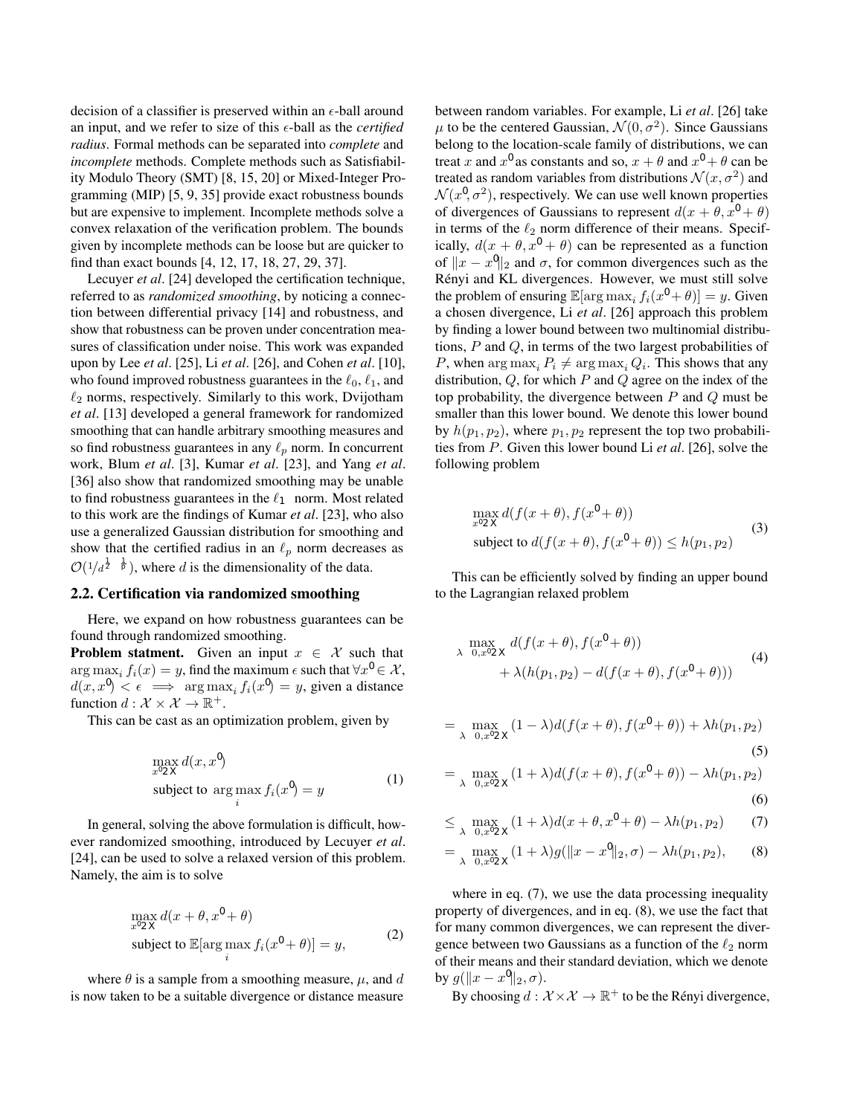decision of a classifier is preserved within an  $\epsilon$ -ball around an input, and we refer to size of this  $\epsilon$ -ball as the *certified radius*. Formal methods can be separated into *complete* and *incomplete* methods. Complete methods such as Satisfiability Modulo Theory (SMT) [8, 15, 20] or Mixed-Integer Programming (MIP) [5, 9, 35] provide exact robustness bounds but are expensive to implement. Incomplete methods solve a convex relaxation of the verification problem. The bounds given by incomplete methods can be loose but are quicker to find than exact bounds [4, 12, 17, 18, 27, 29, 37].

Lecuyer *et al*. [24] developed the certification technique, referred to as *randomized smoothing*, by noticing a connection between differential privacy [14] and robustness, and show that robustness can be proven under concentration measures of classification under noise. This work was expanded upon by Lee *et al*. [25], Li *et al*. [26], and Cohen *et al*. [10], who found improved robustness guarantees in the  $\ell_0, \ell_1$ , and  $\ell_2$  norms, respectively. Similarly to this work, Dvijotham *et al*. [13] developed a general framework for randomized smoothing that can handle arbitrary smoothing measures and so find robustness guarantees in any  $\ell_p$  norm. In concurrent work, Blum *et al*. [3], Kumar *et al*. [23], and Yang *et al*. [36] also show that randomized smoothing may be unable to find robustness guarantees in the  $\ell_{\infty}$  norm. Most related to this work are the findings of Kumar *et al*. [23], who also use a generalized Gaussian distribution for smoothing and show that the certified radius in an  $\ell_p$  norm decreases as  $\mathcal{O}(1/d^{\frac{1}{2}-\frac{1}{p}})$ , where d is the dimensionality of the data.

#### 2.2. Certification via randomized smoothing

Here, we expand on how robustness guarantees can be found through randomized smoothing.

**Problem statment.** Given an input  $x \in \mathcal{X}$  such that arg max<sub>i</sub>  $f_i(x) = y$ , find the maximum  $\epsilon$  such that  $\forall x' \in \mathcal{X}$ ,  $d(x, x') < \epsilon \implies \arg \max_i f_i(x') = y$ , given a distance function  $d : \mathcal{X} \times \mathcal{X} \to \mathbb{R}^+$ .

This can be cast as an optimization problem, given by

$$
\max_{x' \in \mathcal{X}} d(x, x')
$$
  
subject to 
$$
\arg \max_{i} f_i(x') = y
$$
 (1)

In general, solving the above formulation is difficult, however randomized smoothing, introduced by Lecuyer *et al*. [24], can be used to solve a relaxed version of this problem. Namely, the aim is to solve

$$
\max_{x' \in \mathcal{X}} d(x + \theta, x' + \theta)
$$
  
subject to  $\mathbb{E}[\arg \max_{i} f_i(x' + \theta)] = y,$  (2)

where  $\theta$  is a sample from a smoothing measure,  $\mu$ , and d is now taken to be a suitable divergence or distance measure between random variables. For example, Li *et al*. [26] take  $\mu$  to be the centered Gaussian,  $\mathcal{N}(0, \sigma^2)$ . Since Gaussians belong to the location-scale family of distributions, we can treat x and x' as constants and so,  $x + \theta$  and  $x' + \theta$  can be treated as random variables from distributions  $\mathcal{N}(x, \sigma^2)$  and  $\mathcal{N}(x', \sigma^2)$ , respectively. We can use well known properties of divergences of Gaussians to represent  $d(x + \theta, x' + \theta)$ in terms of the  $\ell_2$  norm difference of their means. Specifically,  $d(x + \theta, x' + \theta)$  can be represented as a function of  $||x - x'||_2$  and  $\sigma$ , for common divergences such as the Rényi and KL divergences. However, we must still solve the problem of ensuring  $\mathbb{E}[\arg \max_i f_i(x' + \theta)] = y$ . Given a chosen divergence, Li *et al*. [26] approach this problem by finding a lower bound between two multinomial distributions, P and Q, in terms of the two largest probabilities of P, when  $\arg \max_i P_i \neq \arg \max_i Q_i$ . This shows that any distribution,  $Q$ , for which  $P$  and  $Q$  agree on the index of the top probability, the divergence between  $P$  and  $Q$  must be smaller than this lower bound. We denote this lower bound by  $h(p_1, p_2)$ , where  $p_1, p_2$  represent the top two probabilities from P. Given this lower bound Li *et al*. [26], solve the following problem

$$
\max_{x' \in \mathcal{X}} d(f(x + \theta), f(x' + \theta))
$$
  
subject to  $d(f(x + \theta), f(x' + \theta)) \le h(p_1, p_2)$  (3)

This can be efficiently solved by finding an upper bound to the Lagrangian relaxed problem

$$
\max_{\lambda \leq 0, x' \in \mathcal{X}} d(f(x + \theta), f(x' + \theta)) + \lambda(h(p_1, p_2) - d(f(x + \theta), f(x' + \theta)))
$$
\n(4)

$$
= \max_{\lambda \leq 0, x' \in \mathcal{X}} (1 - \lambda) d(f(x + \theta), f(x' + \theta)) + \lambda h(p_1, p_2)
$$
\n(5)

$$
= \max_{\lambda \ge 0, x' \in \mathcal{X}} (1 + \lambda) d(f(x + \theta), f(x' + \theta)) - \lambda h(p_1, p_2)
$$

(0)  

$$
(1+\lambda)d(x+A,x'+\theta) = \lambda b(n, n_2)
$$
 (7)

$$
\leq \max_{\lambda \geq 0, x' \in \mathcal{X}} (1 + \lambda) d(x + \theta, x' + \theta) - \lambda h(p_1, p_2) \tag{7}
$$

$$
= \max_{\lambda \ge 0, x' \in \mathcal{X}} (1 + \lambda) g(\|x - x'\|_2, \sigma) - \lambda h(p_1, p_2), \quad (8)
$$

where in eq.  $(7)$ , we use the data processing inequality property of divergences, and in eq. (8), we use the fact that for many common divergences, we can represent the divergence between two Gaussians as a function of the  $\ell_2$  norm of their means and their standard deviation, which we denote by  $g(\Vert x - x' \Vert_2, \sigma)$ .

By choosing  $d: \mathcal{X} \times \mathcal{X} \to \mathbb{R}^+$  to be the Rényi divergence,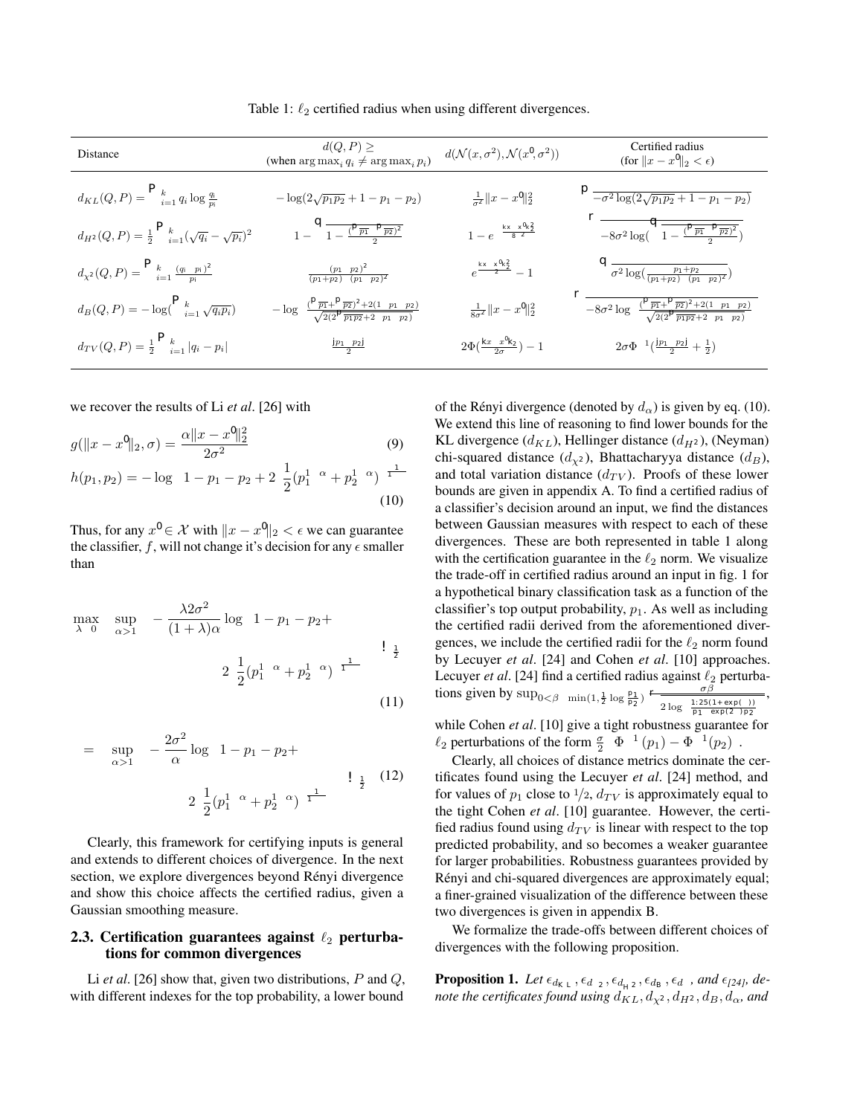| <b>Distance</b>                                                 | $d(Q, P) \geq$<br>(when $\arg \max_i q_i \neq \arg \max_i p_i$ )                                      | $d(\mathcal{N}(x, \sigma^2), \mathcal{N}(x', \sigma^2))$ | Certified radius<br>$(\text{for }   x - x'  _2 < \epsilon)$                                                            |
|-----------------------------------------------------------------|-------------------------------------------------------------------------------------------------------|----------------------------------------------------------|------------------------------------------------------------------------------------------------------------------------|
|                                                                 |                                                                                                       |                                                          |                                                                                                                        |
| $d_{KL}(Q, P) = \sum_{i=1}^{k} q_i \log \frac{q_i}{p_i}$        | $-\log(2\sqrt{p_1p_2}+1-p_1-p_2)$                                                                     | $\frac{1}{\sigma^2} \ x - x'\ _2^2$                      | $\sqrt{-\sigma^2 \log(2\sqrt{p_1p_2} + 1 - p_1 - p_2)}$                                                                |
| $d_{H^2}(Q,P)=\frac{1}{2}\sum_{i=1}^k(\sqrt{q_i}-\sqrt{p_i})^2$ | $1-\sqrt{1-\frac{(\sqrt{p_1}-\sqrt{p_2})^2}{2}}$                                                      | $1 - e^{-\frac{  x-x'  _2^2}{8\sigma^2}}$                | $\sqrt{-8\sigma^2\log(\sqrt{1-\frac{(\sqrt{p_1}-\sqrt{p_2})^2}{2}})}$                                                  |
| $d_{\chi^2}(Q, P) = \sum_{i=1}^k \frac{(q_i - p_i)^2}{p_i}$     | $\frac{(p_1-p_2)^2}{(p_1+p_2)-(p_1-p_2)^2}$                                                           | $e^{\frac{  x-x'  _2^2}{\sigma^2}} - 1$                  | $\sqrt{\sigma^2 \log(\frac{p_1+p_2}{(p_1+p_2)-(p_1-p_2)^2})}$                                                          |
| $d_B(Q, P) = -\log(\sum_{i=1}^k \sqrt{q_i p_i})$                | $-\log\left(\frac{(\sqrt{p_1}+\sqrt{p_2})^2+2(1-p_1-p_2)}{\sqrt{2(2\sqrt{p_1p_2}+2-p_1-p_2)}}\right)$ | $\frac{1}{8\sigma^2} \ x - x'\ _2^2$                     | $\sqrt{-8\sigma^2 \log\left(\frac{(\sqrt{p_1}+\sqrt{p_2})^2+2(1-p_1-p_2)}{\sqrt{2(2\sqrt{p_1p_2}+2-p_1-p_2)}}\right)}$ |
| $d_{TV}(Q, P) = \frac{1}{2} \sum_{i=1}^{k}  q_i - p_i $         | $\frac{ p_1-p_2 }{2}$                                                                                 | $2\Phi(\frac{\ x-x'\ _2}{2\sigma})-1$                    | $2\sigma\Phi^{-1}(\frac{ p_1-p_2 }{2}+\frac{1}{2})$                                                                    |

Table 1:  $\ell_2$  certified radius when using different divergences.

we recover the results of Li *et al*. [26] with

$$
g(\|x - x'\|_2, \sigma) = \frac{\alpha \|x - x'\|_2^2}{2\sigma^2}
$$
(9)  

$$
h(p_1, p_2) = -\log\left(1 - p_1 - p_2 + 2\left(\frac{1}{2}(p_1^{1-\alpha} + p_2^{1-\alpha})\right)^{\frac{1}{1-\alpha}}\right)
$$
(10)

Thus, for any  $x' \in \mathcal{X}$  with  $||x - x'||_2 < \epsilon$  we can guarantee the classifier, f, will not change it's decision for any  $\epsilon$  smaller than

$$
\max_{\lambda \ge 0} \left( \sup_{\alpha > 1} \left( -\frac{\lambda 2\sigma^2}{(1+\lambda)\alpha} \log \left( 1 - p_1 - p_2 + \right. \right. \right)
$$

$$
2\left(\frac{1}{2}(p_1^{1-\alpha} + p_2^{1-\alpha})\right)^{\frac{1}{1-\alpha}} \right) \bigg) \bigg)^{\frac{1}{2}} \tag{11}
$$

$$
= \left(\sup_{\alpha>1} \left( -\frac{2\sigma^2}{\alpha} \log \left( 1 - p_1 - p_2 + \frac{2\sigma^2}{\alpha} \log \left( 1 - p_1 - p_2 + \frac{2\sigma^2}{\alpha} \right) \right) \right)^{\frac{1}{2}} \tag{12}
$$

Clearly, this framework for certifying inputs is general and extends to different choices of divergence. In the next section, we explore divergences beyond Rényi divergence and show this choice affects the certified radius, given a Gaussian smoothing measure.

## 2.3. Certification guarantees against  $\ell_2$  perturbations for common divergences

Li *et al*. [26] show that, given two distributions, P and Q, with different indexes for the top probability, a lower bound of the Rényi divergence (denoted by  $d_{\alpha}$ ) is given by eq. (10). We extend this line of reasoning to find lower bounds for the KL divergence  $(d_{KL})$ , Hellinger distance  $(d_{H^2})$ , (Neyman) chi-squared distance  $(d_{\chi^2})$ , Bhattacharyya distance  $(d_B)$ , and total variation distance  $(d_{TV})$ . Proofs of these lower bounds are given in appendix A. To find a certified radius of a classifier's decision around an input, we find the distances between Gaussian measures with respect to each of these divergences. These are both represented in table 1 along with the certification guarantee in the  $\ell_2$  norm. We visualize the trade-off in certified radius around an input in fig. 1 for a hypothetical binary classification task as a function of the classifier's top output probability,  $p_1$ . As well as including the certified radii derived from the aforementioned divergences, we include the certified radii for the  $\ell_2$  norm found by Lecuyer *et al*. [24] and Cohen *et al*. [10] approaches. Lecuyer *et al.* [24] find a certified radius against  $\ell_2$  perturbations given by  $\sup_{0 \leq \beta \leq \min(1, \frac{1}{2} \log \frac{p_1}{p_2})} \frac{\sigma \beta}{\sqrt{2 \log(1.251$  $\frac{\sigma \beta}{2 \log \left( \frac{1.25(1+\exp(\beta))}{p_1-\exp(2\beta)p_2} \right)},$ 

while Cohen *et al*. [10] give a tight robustness guarantee for  $\ell_2$  perturbations of the form  $\frac{\sigma}{2} (\Phi^{-1}(p_1) - \Phi^{-1}(p_2)).$ 

Clearly, all choices of distance metrics dominate the certificates found using the Lecuyer *et al*. [24] method, and for values of  $p_1$  close to  $\frac{1}{2}$ ,  $d_{TV}$  is approximately equal to the tight Cohen *et al*. [10] guarantee. However, the certified radius found using  $d_{TV}$  is linear with respect to the top predicted probability, and so becomes a weaker guarantee for larger probabilities. Robustness guarantees provided by Rényi and chi-squared divergences are approximately equal; a finer-grained visualization of the difference between these two divergences is given in appendix B.

We formalize the trade-offs between different choices of divergences with the following proposition.

**Proposition 1.** Let  $\epsilon_{d_{KL}}, \epsilon_{d_{\chi^2}}, \epsilon_{d_{H^2}}, \epsilon_{d_B}, \epsilon_{d_{\alpha}},$  and  $\epsilon_{[24]}$ , de*note the certificates found using*  $d_{KL}$ ,  $d_{\chi^2}$ ,  $d_{H^2}$ ,  $d_B$ ,  $d_{\alpha}$ , and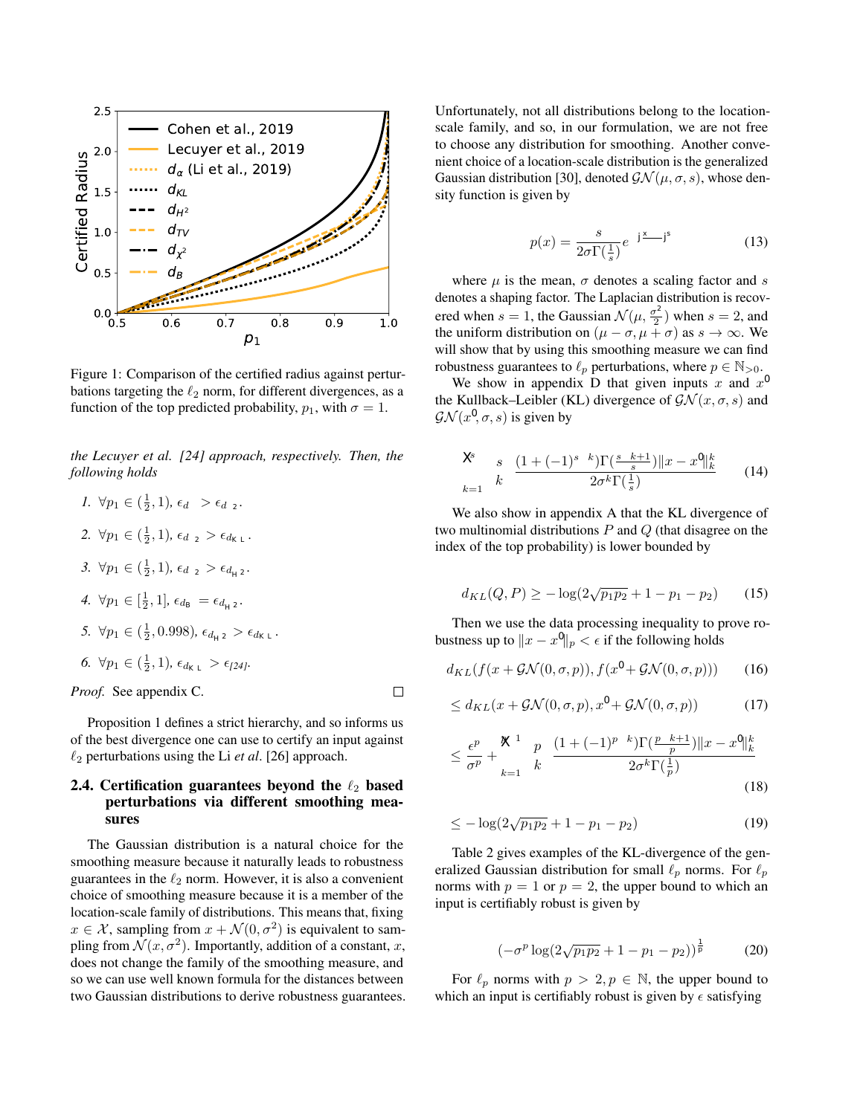

Figure 1: Comparison of the certified radius against perturbations targeting the  $\ell_2$  norm, for different divergences, as a function of the top predicted probability,  $p_1$ , with  $\sigma = 1$ .

*the Lecuyer et al. [24] approach, respectively. Then, the following holds*

*1.*  $\forall p_1 \in (\frac{1}{2}, 1), \epsilon_{d_\alpha} > \epsilon_{d_\chi 2}$ . 2.  $\forall p_1 \in (\frac{1}{2}, 1), \epsilon_{d_{\chi^2}} > \epsilon_{d_{KL}}.$ 3.  $\forall p_1 \in (\frac{1}{2}, 1), \epsilon_{d_{\chi^2}} > \epsilon_{d_{H^2}}.$ *4.*  $\forall p_1 \in [\frac{1}{2}, 1], \epsilon_{d_B} = \epsilon_{d_{H^2}}.$ *5.*  $\forall p_1 \in (\frac{1}{2}, 0.998), \epsilon_{d_{H^2}} > \epsilon_{d_{KL}}.$ *6.*  $\forall p_1 \in (\frac{1}{2}, 1), \epsilon_{d_{KL}} > \epsilon_{l24l}$ *.* 

*Proof.* See appendix C.

Proposition 1 defines a strict hierarchy, and so informs us of the best divergence one can use to certify an input against  $\ell_2$  perturbations using the Li *et al*. [26] approach.

 $\Box$ 

## 2.4. Certification guarantees beyond the  $\ell_2$  based perturbations via different smoothing measures

The Gaussian distribution is a natural choice for the smoothing measure because it naturally leads to robustness guarantees in the  $\ell_2$  norm. However, it is also a convenient choice of smoothing measure because it is a member of the location-scale family of distributions. This means that, fixing  $x \in \mathcal{X}$ , sampling from  $x + \mathcal{N}(0, \sigma^2)$  is equivalent to sampling from  $\mathcal{N}(x, \sigma^2)$ . Importantly, addition of a constant, x, does not change the family of the smoothing measure, and so we can use well known formula for the distances between two Gaussian distributions to derive robustness guarantees. Unfortunately, not all distributions belong to the locationscale family, and so, in our formulation, we are not free to choose any distribution for smoothing. Another convenient choice of a location-scale distribution is the generalized Gaussian distribution [30], denoted  $\mathcal{GN}(\mu,\sigma,s)$ , whose density function is given by

$$
p(x) = \frac{s}{2\sigma \Gamma(\frac{1}{s})} e^{-|\frac{x-\mu}{\sigma}|^{s}}
$$
(13)

where  $\mu$  is the mean,  $\sigma$  denotes a scaling factor and s denotes a shaping factor. The Laplacian distribution is recovered when  $s = 1$ , the Gaussian  $\mathcal{N}(\mu, \frac{\sigma^2}{2})$  $\left(\frac{r^2}{2}\right)$  when  $s = 2$ , and the uniform distribution on  $(\mu - \sigma, \mu + \sigma)$  as  $s \to \infty$ . We will show that by using this smoothing measure we can find robustness guarantees to  $\ell_p$  perturbations, where  $p \in \mathbb{N}_{>0}$ .

We show in appendix D that given inputs  $x$  and  $x'$ the Kullback–Leibler (KL) divergence of  $\mathcal{GN}(x,\sigma,s)$  and  $\mathcal{G}\mathcal{N}(x', \sigma, s)$  is given by

$$
\sum_{k=1}^{s} {s \choose k} \frac{(1+(-1)^{s-k})\Gamma(\frac{s-k+1}{s}) ||x-x'||_k^k}{2\sigma^k \Gamma(\frac{1}{s})}
$$
(14)

We also show in appendix A that the KL divergence of two multinomial distributions  $P$  and  $Q$  (that disagree on the index of the top probability) is lower bounded by

$$
d_{KL}(Q, P) \ge -\log(2\sqrt{p_1 p_2} + 1 - p_1 - p_2)
$$
 (15)

Then we use the data processing inequality to prove robustness up to  $||x - x'||_p < \epsilon$  if the following holds

$$
d_{KL}(f(x + \mathcal{GN}(0, \sigma, p)), f(x' + \mathcal{GN}(0, \sigma, p))) \tag{16}
$$

$$
\leq d_{KL}(x + \mathcal{GN}(0, \sigma, p), x' + \mathcal{GN}(0, \sigma, p)) \tag{17}
$$

$$
\leq \frac{\epsilon^p}{\sigma^p} + \sum_{k=1}^{p-1} \binom{p}{k} \frac{(1 + (-1)^{p-k})\Gamma(\frac{p-k+1}{p})||x - x'||_k^k}{2\sigma^k \Gamma(\frac{1}{p})}
$$
\n(18)

$$
\leq -\log(2\sqrt{p_1p_2} + 1 - p_1 - p_2) \tag{19}
$$

Table 2 gives examples of the KL-divergence of the generalized Gaussian distribution for small  $\ell_p$  norms. For  $\ell_p$ norms with  $p = 1$  or  $p = 2$ , the upper bound to which an input is certifiably robust is given by

$$
\left(-\sigma^p \log(2\sqrt{p_1 p_2} + 1 - p_1 - p_2)\right)^{\frac{1}{p}} \tag{20}
$$

For  $\ell_p$  norms with  $p > 2, p \in \mathbb{N}$ , the upper bound to which an input is certifiably robust is given by  $\epsilon$  satisfying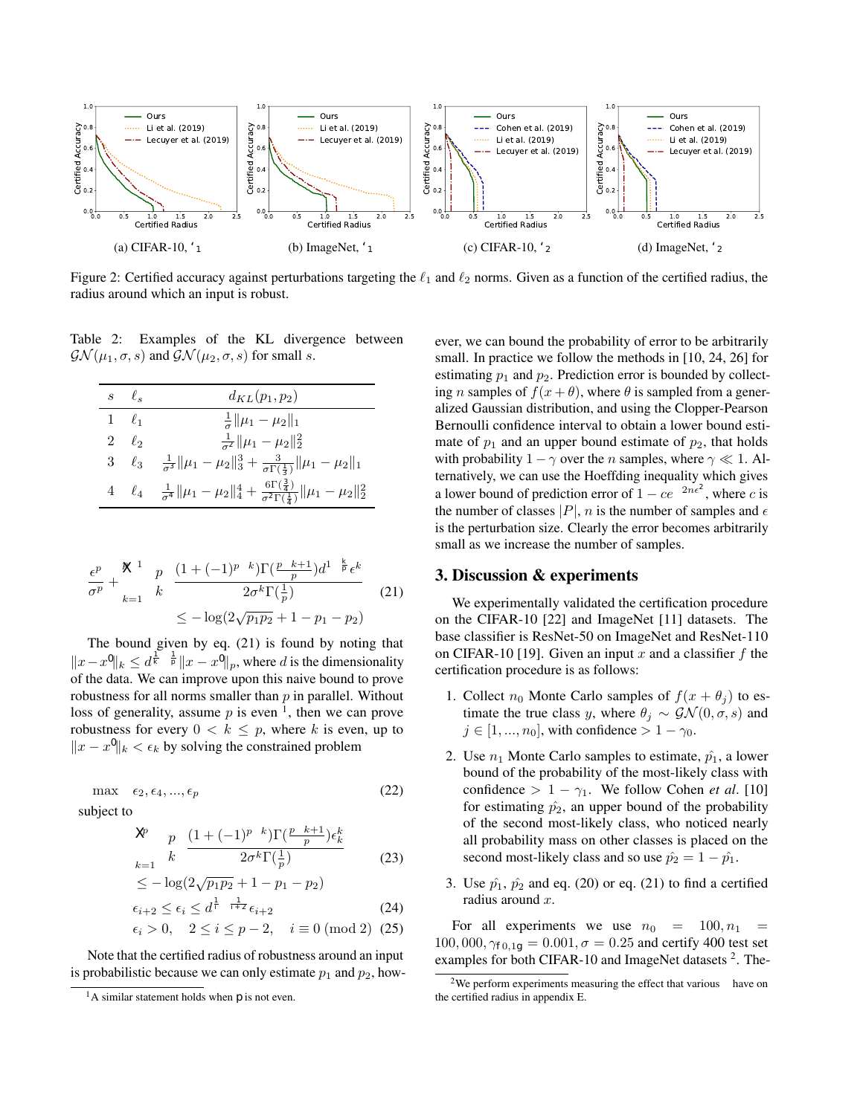

Figure 2: Certified accuracy against perturbations targeting the  $\ell_1$  and  $\ell_2$  norms. Given as a function of the certified radius, the radius around which an input is robust.

Table 2: Examples of the KL divergence between  $\mathcal{G} \mathcal{N}(\mu_1, \sigma, s)$  and  $\mathcal{G} \mathcal{N}(\mu_2, \sigma, s)$  for small s.

| $s \quad \ell_s$ | $d_{KL}(p_1, p_2)$                                                                                                          |  |
|------------------|-----------------------------------------------------------------------------------------------------------------------------|--|
| $1 \ell_1$       | $\frac{1}{\sigma} \ \mu_1 - \mu_2\ _1$                                                                                      |  |
| $2 \ell_2$       | $\frac{1}{\sigma^2} \ \mu_1 - \mu_2\ _2^2$                                                                                  |  |
| $3 \ell_3$       | $\frac{1}{\sigma^3} \ \mu_1 - \mu_2\ _3^3 + \frac{3}{\sigma \Gamma(\frac{1}{3})} \ \mu_1 - \mu_2\ _1$                       |  |
| $4\ell_4$        | $\frac{1}{\sigma^4} \ \mu_1 - \mu_2\ _4^4 + \frac{6\Gamma(\frac{3}{4})}{\sigma^2\Gamma(\frac{1}{4})} \ \mu_1 - \mu_2\ _2^2$ |  |

$$
\frac{\epsilon^p}{\sigma^p} + \sum_{k=1}^{p-1} {p \choose k} \frac{(1 + (-1)^{p-k}) \Gamma(\frac{p-k+1}{p}) d^{1-\frac{k}{p}} \epsilon^k}{2\sigma^k \Gamma(\frac{1}{p})} \tag{21}
$$
\n
$$
\leq -\log(2\sqrt{p_1 p_2} + 1 - p_1 - p_2)
$$

The bound given by eq. (21) is found by noting that  $||x-x'||_k \leq d^{\frac{1}{k}-\frac{1}{p}} ||x-x'||_p$ , where d is the dimensionality of the data. We can improve upon this naive bound to prove robustness for all norms smaller than  $p$  in parallel. Without loss of generality, assume  $p$  is even <sup>1</sup>, then we can prove robustness for every  $0 < k \leq p$ , where k is even, up to  $||x - x'||_k < \epsilon_k$  by solving the constrained problem

$$
\max \epsilon_2, \epsilon_4, ..., \epsilon_p \tag{22}
$$

subject to

$$
\sum_{k=1}^{p} \binom{p}{k} \frac{\left(1 + (-1)^{p-k}\right) \Gamma\left(\frac{p-k+1}{p}\right) \epsilon_k^k}{2\sigma^k \Gamma\left(\frac{1}{p}\right)}\tag{23}
$$

$$
\leq -\log(2\sqrt{p_1p_2} + 1 - p_1 - p_2)
$$

$$
\epsilon_{i+2} \le \epsilon_i \le d^{\frac{1}{4} - \frac{1}{i+2}} \epsilon_{i+2}
$$
\n
$$
\epsilon_i > 0, \quad 2 \le i \le p-2, \quad i \equiv 0 \pmod{2} \quad (25)
$$

Note that the certified radius of robustness around an input is probabilistic because we can only estimate  $p_1$  and  $p_2$ , however, we can bound the probability of error to be arbitrarily small. In practice we follow the methods in [10, 24, 26] for estimating  $p_1$  and  $p_2$ . Prediction error is bounded by collecting *n* samples of  $f(x + \theta)$ , where  $\theta$  is sampled from a generalized Gaussian distribution, and using the Clopper-Pearson Bernoulli confidence interval to obtain a lower bound estimate of  $p_1$  and an upper bound estimate of  $p_2$ , that holds with probability  $1 - \gamma$  over the *n* samples, where  $\gamma \ll 1$ . Alternatively, we can use the Hoeffding inequality which gives a lower bound of prediction error of  $1 - ce^{-2n\epsilon^2}$ , where c is the number of classes  $|P|$ , *n* is the number of samples and  $\epsilon$ is the perturbation size. Clearly the error becomes arbitrarily small as we increase the number of samples.

### 3. Discussion & experiments

We experimentally validated the certification procedure on the CIFAR-10 [22] and ImageNet [11] datasets. The base classifier is ResNet-50 on ImageNet and ResNet-110 on CIFAR-10 [19]. Given an input x and a classifier f the certification procedure is as follows:

- 1. Collect  $n_0$  Monte Carlo samples of  $f(x + \theta_i)$  to estimate the true class y, where  $\theta_j \sim \mathcal{GN}(0,\sigma,s)$  and  $j \in [1, ..., n_0]$ , with confidence  $> 1 - \gamma_0$ .
- 2. Use  $n_1$  Monte Carlo samples to estimate,  $\hat{p_1}$ , a lower bound of the probability of the most-likely class with confidence >  $1 - \gamma_1$ . We follow Cohen *et al.* [10] for estimating  $\hat{p}_2$ , an upper bound of the probability of the second most-likely class, who noticed nearly all probability mass on other classes is placed on the second most-likely class and so use  $\hat{p}_2 = 1 - \hat{p}_1$ .
- 3. Use  $\hat{p}_1$ ,  $\hat{p}_2$  and eq. (20) or eq. (21) to find a certified radius around x.

For all experiments we use  $n_0 = 100, n_1 =$  $100,000, \gamma_{0,1} = 0.001, \sigma = 0.25$  and certify 400 test set examples for both CIFAR-10 and ImageNet datasets<sup>2</sup>. The-

<sup>&</sup>lt;sup>1</sup>A similar statement holds when  $p$  is not even.

<sup>&</sup>lt;sup>2</sup>We perform experiments measuring the effect that various  $\sigma$  have on the certified radius in appendix E.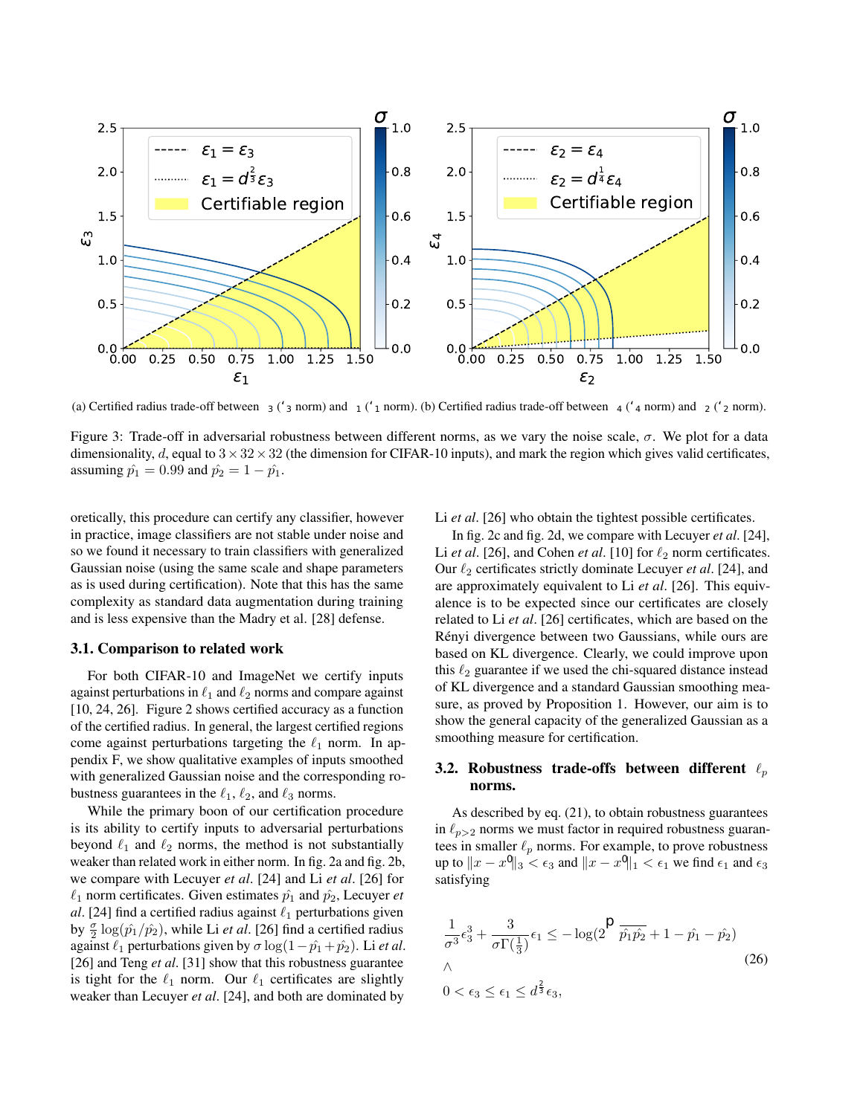

(a) Certified radius trade-off between  $\epsilon_3$  ( $\ell_3$  norm) and  $\epsilon_1$  ( $\ell_1$  norm). (b) Certified radius trade-off between  $\epsilon_4$  ( $\ell_4$  norm) and  $\epsilon_2$  ( $\ell_2$  norm).

Figure 3: Trade-off in adversarial robustness between different norms, as we vary the noise scale,  $\sigma$ . We plot for a data dimensionality, d, equal to  $3 \times 32 \times 32$  (the dimension for CIFAR-10 inputs), and mark the region which gives valid certificates, assuming  $\hat{p}_1 = 0.99$  and  $\hat{p}_2 = 1 - \hat{p}_1$ .

oretically, this procedure can certify any classifier, however in practice, image classifiers are not stable under noise and so we found it necessary to train classifiers with generalized Gaussian noise (using the same scale and shape parameters as is used during certification). Note that this has the same complexity as standard data augmentation during training and is less expensive than the Madry et al. [28] defense.

#### 3.1. Comparison to related work

For both CIFAR-10 and ImageNet we certify inputs against perturbations in  $\ell_1$  and  $\ell_2$  norms and compare against [10, 24, 26]. Figure 2 shows certified accuracy as a function of the certified radius. In general, the largest certified regions come against perturbations targeting the  $\ell_1$  norm. In appendix F, we show qualitative examples of inputs smoothed with generalized Gaussian noise and the corresponding robustness guarantees in the  $\ell_1, \ell_2$ , and  $\ell_3$  norms.

While the primary boon of our certification procedure is its ability to certify inputs to adversarial perturbations beyond  $\ell_1$  and  $\ell_2$  norms, the method is not substantially weaker than related work in either norm. In fig. 2a and fig. 2b, we compare with Lecuyer *et al*. [24] and Li *et al*. [26] for  $\ell_1$  norm certificates. Given estimates  $\hat{p_1}$  and  $\hat{p_2}$ , Lecuyer *et al*. [24] find a certified radius against  $\ell_1$  perturbations given by  $\frac{\sigma}{2} \log(\hat{p}_1/\hat{p}_2)$ , while Li *et al*. [26] find a certified radius against  $\ell_1$  perturbations given by  $\sigma \log(1 - \hat{p_1} + \hat{p_2})$ . Li *et al.* [26] and Teng *et al*. [31] show that this robustness guarantee is tight for the  $\ell_1$  norm. Our  $\ell_1$  certificates are slightly weaker than Lecuyer *et al*. [24], and both are dominated by

Li *et al*. [26] who obtain the tightest possible certificates.

In fig. 2c and fig. 2d, we compare with Lecuyer *et al*. [24], Li *et al.* [26], and Cohen *et al.* [10] for  $\ell_2$  norm certificates. Our  $\ell_2$  certificates strictly dominate Lecuyer *et al.* [24], and are approximately equivalent to Li *et al*. [26]. This equivalence is to be expected since our certificates are closely related to Li *et al*. [26] certificates, which are based on the Rényi divergence between two Gaussians, while ours are based on KL divergence. Clearly, we could improve upon this  $\ell_2$  guarantee if we used the chi-squared distance instead of KL divergence and a standard Gaussian smoothing measure, as proved by Proposition 1. However, our aim is to show the general capacity of the generalized Gaussian as a smoothing measure for certification.

## 3.2. Robustness trade-offs between different  $\ell_p$ norms.

As described by eq. (21), to obtain robustness guarantees in  $\ell_{p>2}$  norms we must factor in required robustness guarantees in smaller  $\ell_p$  norms. For example, to prove robustness up to  $||x - x'||_3 < \epsilon_3$  and  $||x - x'||_1 < \epsilon_1$  we find  $\epsilon_1$  and  $\epsilon_3$ satisfying

$$
\frac{1}{\sigma^3} \epsilon_3^3 + \frac{3}{\sigma \Gamma(\frac{1}{3})} \epsilon_1 \le -\log(2\sqrt{\hat{p}_1 \hat{p}_2} + 1 - \hat{p}_1 - \hat{p}_2)
$$
  

$$
\wedge
$$
  

$$
0 < \epsilon_3 \le \epsilon_1 \le d^{\frac{2}{3}} \epsilon_3,
$$
 (26)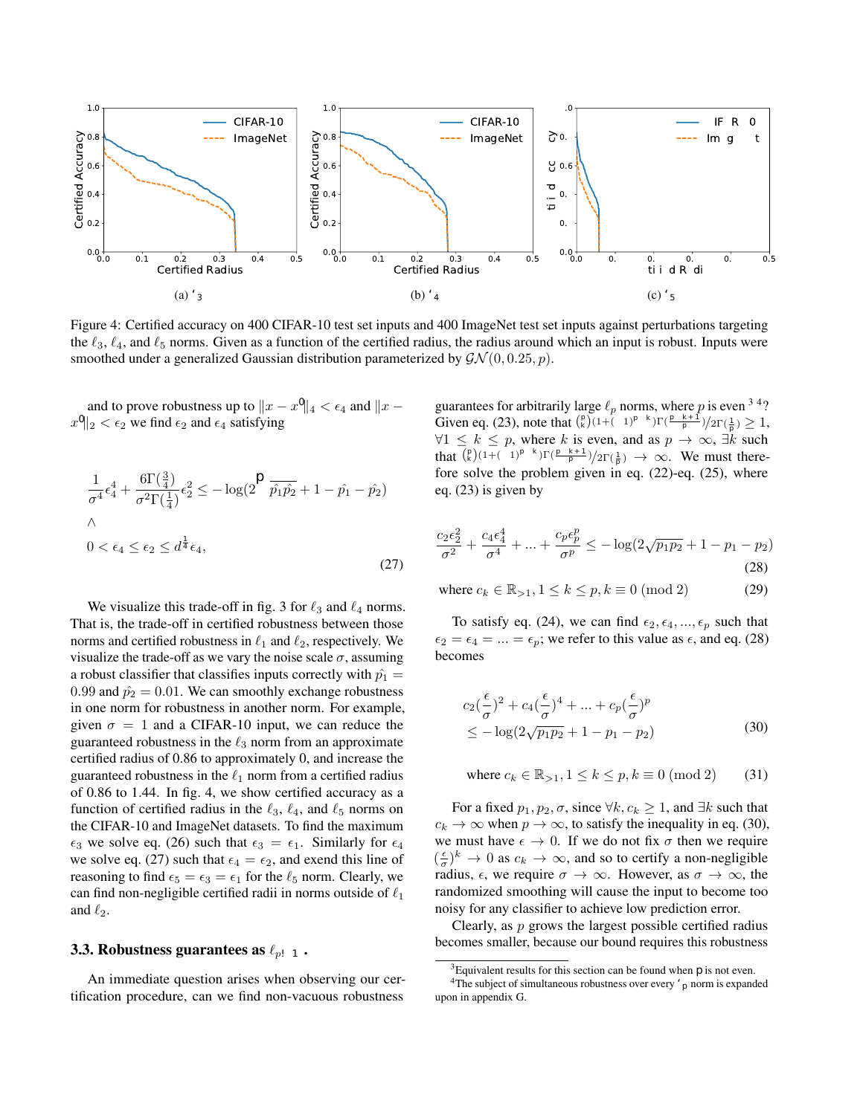

Figure 4: Certified accuracy on 400 CIFAR-10 test set inputs and 400 ImageNet test set inputs against perturbations targeting the  $\ell_3$ ,  $\ell_4$ , and  $\ell_5$  norms. Given as a function of the certified radius, the radius around which an input is robust. Inputs were smoothed under a generalized Gaussian distribution parameterized by  $\mathcal{GN}(0, 0.25, p)$ .

and to prove robustness up to  $||x - x'||_4 < \epsilon_4$  and  $||x - x||_4$  $||x'||_2 < \epsilon_2$  we find  $\epsilon_2$  and  $\epsilon_4$  satisfying

$$
\frac{1}{\sigma^4} \epsilon_4^4 + \frac{6\Gamma(\frac{3}{4})}{\sigma^2 \Gamma(\frac{1}{4})} \epsilon_2^2 \le -\log(2\sqrt{\hat{p}_1 \hat{p}_2} + 1 - \hat{p}_1 - \hat{p}_2)
$$
  

$$
\wedge
$$
  

$$
0 < \epsilon_4 \le \epsilon_2 \le d^{\frac{1}{4}} \epsilon_4,
$$
 (27)

We visualize this trade-off in fig. 3 for  $\ell_3$  and  $\ell_4$  norms. That is, the trade-off in certified robustness between those norms and certified robustness in  $\ell_1$  and  $\ell_2$ , respectively. We visualize the trade-off as we vary the noise scale  $\sigma$ , assuming a robust classifier that classifies inputs correctly with  $\hat{p_1} =$ 0.99 and  $\hat{p}_2 = 0.01$ . We can smoothly exchange robustness in one norm for robustness in another norm. For example, given  $\sigma = 1$  and a CIFAR-10 input, we can reduce the guaranteed robustness in the  $\ell_3$  norm from an approximate certified radius of 0.86 to approximately 0, and increase the guaranteed robustness in the  $\ell_1$  norm from a certified radius of 0.86 to 1.44. In fig. 4, we show certified accuracy as a function of certified radius in the  $\ell_3$ ,  $\ell_4$ , and  $\ell_5$  norms on the CIFAR-10 and ImageNet datasets. To find the maximum  $\epsilon_3$  we solve eq. (26) such that  $\epsilon_3 = \epsilon_1$ . Similarly for  $\epsilon_4$ we solve eq. (27) such that  $\epsilon_4 = \epsilon_2$ , and exend this line of reasoning to find  $\epsilon_5 = \epsilon_3 = \epsilon_1$  for the  $\ell_5$  norm. Clearly, we can find non-negligible certified radii in norms outside of  $\ell_1$ and  $\ell_2$ .

# 3.3. Robustness guarantees as  $\ell_{p\to\infty}$ .

An immediate question arises when observing our certification procedure, can we find non-vacuous robustness

guarantees for arbitrarily large  $\ell_p$  norms, where p is even <sup>3 4</sup>? Given eq. (23), note that  $\binom{p}{k} (1 + (-1)^{p-k}) \Gamma(\frac{p-k+1}{p}) / 2\Gamma(\frac{1}{p}) \geq 1$ ,  $\forall 1 \leq k \leq p$ , where k is even, and as  $p \to \infty$ ,  $\exists k$  such that  $\binom{p}{k}(1+(-1)^{p-k})\Gamma(\frac{p-k+1}{p})/2\Gamma(\frac{1}{p}) \rightarrow \infty$ . We must therefore solve the problem given in eq. (22)-eq. (25), where eq. (23) is given by

$$
\frac{c_2 \epsilon_2^2}{\sigma^2} + \frac{c_4 \epsilon_4^4}{\sigma^4} + \dots + \frac{c_p \epsilon_p^p}{\sigma^p} \le -\log(2\sqrt{p_1 p_2} + 1 - p_1 - p_2)
$$
\n(28)

where  $c_k \in \mathbb{R}_{>1}, 1 \le k \le p, k \equiv 0 \pmod{2}$  (29)

To satisfy eq. (24), we can find  $\epsilon_2, \epsilon_4, ..., \epsilon_p$  such that  $\epsilon_2 = \epsilon_4 = ... = \epsilon_p$ ; we refer to this value as  $\epsilon$ , and eq. (28) becomes

$$
c_2(\frac{\epsilon}{\sigma})^2 + c_4(\frac{\epsilon}{\sigma})^4 + \dots + c_p(\frac{\epsilon}{\sigma})^p
$$
  
 
$$
\leq -\log(2\sqrt{p_1p_2} + 1 - p_1 - p_2)
$$
 (30)

where 
$$
c_k \in \mathbb{R}_{>1}
$$
,  $1 \le k \le p$ ,  $k \equiv 0 \pmod{2}$  (31)

For a fixed  $p_1, p_2, \sigma$ , since  $\forall k, c_k \geq 1$ , and  $\exists k$  such that  $c_k \to \infty$  when  $p \to \infty$ , to satisfy the inequality in eq. (30), we must have  $\epsilon \to 0$ . If we do not fix  $\sigma$  then we require  $(\frac{\epsilon}{\sigma})^k \to 0$  as  $c_k \to \infty$ , and so to certify a non-negligible radius,  $\epsilon$ , we require  $\sigma \to \infty$ . However, as  $\sigma \to \infty$ , the randomized smoothing will cause the input to become too noisy for any classifier to achieve low prediction error.

Clearly, as  $p$  grows the largest possible certified radius becomes smaller, because our bound requires this robustness

<sup>&</sup>lt;sup>3</sup>Equivalent results for this section can be found when  $p$  is not even.

<sup>&</sup>lt;sup>4</sup>The subject of simultaneous robustness over every  $\ell_p$  norm is expanded upon in appendix G.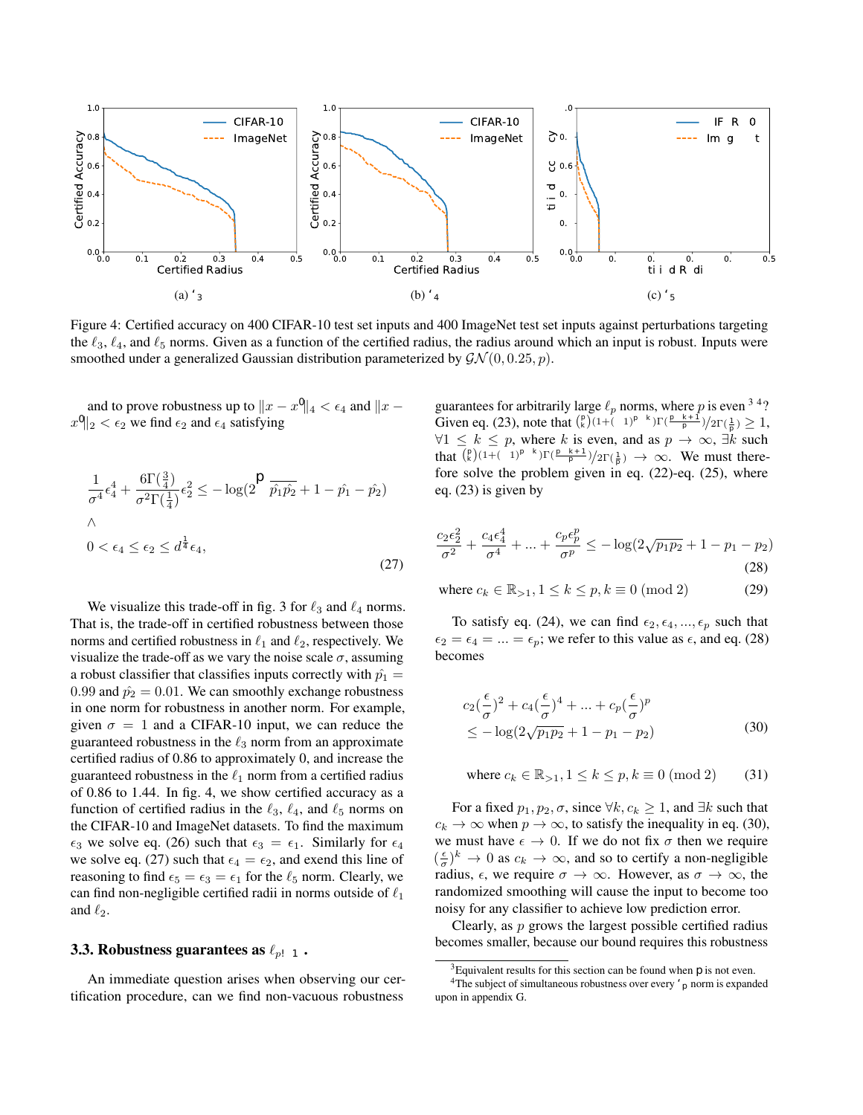guarantee holds for every norm smaller than  $p$ . One may wonder if we can find an  $\ell_p$  norm in which we can certify a non-vacuous radius that approximates the  $\ell_{\infty}$  norm arbitrarily well. The difference in volume between a unit ball in the  $\ell_p$  norm and  $\ell_{\infty}$  norm is given by  $\Gamma(1+1/p)^d / \Gamma(1+d/p)$ , where  $d$  is the data dimensionality. Unfortunately, the error in the approximation is dependent on the data dimensionality. For example, for an ImageNet input where  $d = 3 \times 224 \times 224$ , if we require the ratio of volumes between an  $\ell_p$  unit ball and  $\ell_{\infty}$  unit ball to be larger than 0.99, we must take  $p = 9 \times 3 \times 224 \times 224$ .

#### 3.4. How tight is the bound?

The difference between the certified area and the size of an adversarial perturbation gives a tightness estimate. If the certified radius is close to the size of an adversarial perturbation this implies the bound is close to optimal. To check how tight our bound is we ran the PGD attack [28] minimizing perturbations in the  $\ell_2$  norm. Because the certification procedure requires the addition of generalized Gaussian noise to the input, the gradient is highly stochastic, leading to extremely slow convergence of the PGD attack. We circumvent this stochasticity by optimizing using the Expectation Over Transformation [2] – we use 1000 Monte Carlo samples to estimate the gradient of an input during the attack. Figure 5 gives attack results on CIFAR-10 along with the certified radius of 400 inputs. We find adversarial examples with norms within  $2 - 2.5 \times$  the certified radius. Unfortunately, this does not inform us if our bound is loose or if the attack is sub-optimal. We leave a more rigorous investigation of assessing the tightness of our bound for future work.

## 4. Conclusion

Randomized smoothing has offered a promising approach to scaling robustness guarantees to large architectures. By extending the framework developed by Li *et al*. [26], we showed how different choices of divergences affects the certified radius of robustness around an input. We verified that Rényi divergence is superior to other common f-divergences in this framework, for certifying an input against  $\ell_2$  perturbations. We then showed that a generalized Gaussian smoothing measure leads to robustness guarantees against any  $\ell_p$  ( $p \in \mathbb{N}_{>0}$ ) minimized adversarial perturbation, however, non-negligible certified radii are only available for small  $\ell_p$  norms.

## Acknowledgements

Jamie Hayes is funded by a Google PhD Fellowship in Machine Learning.



Figure 5: The certified radius and size of adversarial perturbations for 400 CIFAR-10 test inputs using a PGD attack optimizing the  $\ell_2$  norm. As a guide to assess how close the certified radius is to adversarial perturbation size, we also display  $2\times$  the certified radius of an input.

## References

- [1] Anish Athalye, Nicholas Carlini, and David Wagner. Obfuscated gradients give a false sense of security: Circumventing defenses to adversarial examples. *arXiv preprint arXiv:1802.00420*, 2018.
- [2] Anish Athalye, Logan Engstrom, Andrew Ilyas, and Kevin Kwok. Synthesizing robust adversarial examples. *arXiv preprint arXiv:1707.07397*, 2017.
- [3] Avrim Blum, Travis Dick, Naren Manoj, and Hongyang Zhang. Random smoothing might be unable to certify  $\ell_{\infty}$ robustness for high-dimensional images. *arXiv preprint arXiv:2002.03517*, 2020.
- [4] Akhilan Boopathy, Tsui-Wei Weng, Pin-Yu Chen, Sijia Liu, and Luca Daniel. Cnn-cert: An efficient framework for certifying robustness of convolutional neural networks. *arXiv preprint arXiv:1811.12395*, 2018.
- [5] Rudy Bunel, Ilker Turkaslan, Philip HS Torr, Pushmeet Kohli, and M Pawan Kumar. Piecewise linear neural networks verification: A comparative study. 2018.
- [6] Nicholas Carlini. Is ami (attacks meet interpretability) robust to adversarial examples? *arXiv preprint arXiv:1902.02322*, 2019.
- [7] Nicholas Carlini, Anish Athalye, Nicolas Papernot, Wieland Brendel, Jonas Rauber, Dimitris Tsipras, Ian Goodfellow, and Aleksander Madry. On evaluating adversarial robustness. *arXiv preprint arXiv:1902.06705*, 2019.
- [8] Nicholas Carlini, Guy Katz, Clark Barrett, and David L Dill. Ground-truth adversarial examples. 2018.
- [9] Chih-Hong Cheng, Georg Nührenberg, and Harald Ruess. Maximum resilience of artificial neural networks. In *International Symposium on Automated Technology for Verification and Analysis*, pages 251–268. Springer, 2017.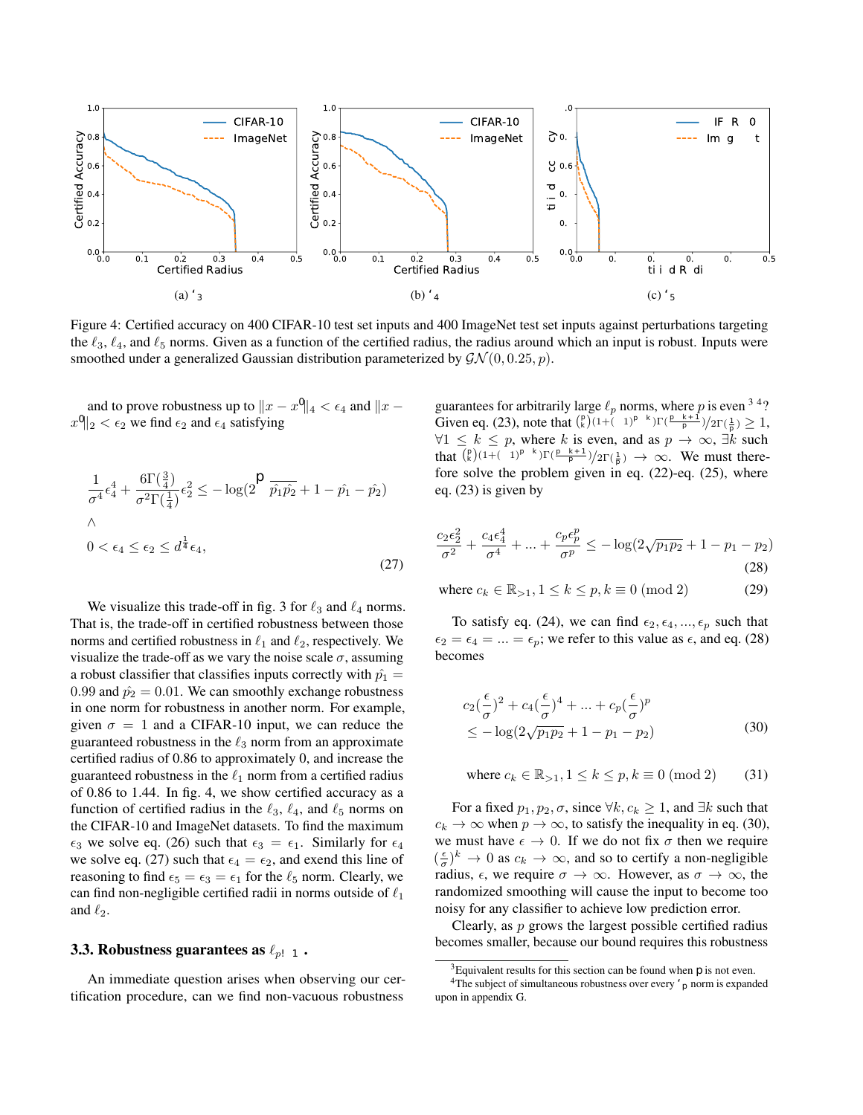- [10] Jeremy M Cohen, Elan Rosenfeld, and J Zico Kolter. Certified adversarial robustness via randomized smoothing. *arXiv preprint arXiv:1902.02918*, 2019.
- [11] J. Deng, W. Dong, R. Socher, L.-J. Li, K. Li, and L. Fei-Fei. ImageNet: A Large-Scale Hierarchical Image Database. In *CVPR09*, 2009.
- [12] Krishnamurthy Dvijotham, Sven Gowal, Robert Stanforth, Relja Arandjelovic, Brendan O'Donoghue, Jonathan Uesato, and Pushmeet Kohli. Training verified learners with learned verifiers. *arXiv preprint arXiv:1805.10265*, 2018.
- [13] Krishnamurthy (Dj) Dvijotham, Jamie Hayes, Borja Balle, Zico Kolter, Chongli Qin, Andras Gyorgy, Kai Xiao, Sven Gowal, and Pushmeet Kohli. A framework for robustness certification of smoothed classifiers using f-divergences. In *International Conference on Learning Representations*, 2020.
- [14] Cynthia Dwork, Frank McSherry, Kobbi Nissim, and Adam Smith. Calibrating noise to sensitivity in private data analysis. In *Theory of cryptography conference*, pages 265–284. Springer, 2006.
- [15] Ruediger Ehlers. Formal verification of piece-wise linear feed-forward neural networks. In *International Symposium on Automated Technology for Verification and Analysis*, pages 269–286. Springer, 2017.
- [16] Logan Engstrom, Andrew Ilyas, and Anish Athalye. Evaluating and understanding the robustness of adversarial logit pairing. *arXiv preprint arXiv:1807.10272*, 2018.
- [17] Timon Gehr, Matthew Mirman, Dana Drachsler-Cohen, Petar Tsankov, Swarat Chaudhuri, and Martin Vechev. Ai2: Safety and robustness certification of neural networks with abstract interpretation. In *2018 IEEE Symposium on Security and Privacy (SP)*, pages 3–18. IEEE, 2018.
- [18] Sven Gowal, Krishnamurthy Dvijotham, Robert Stanforth, Rudy Bunel, Chongli Qin, Jonathan Uesato, Timothy Mann, and Pushmeet Kohli. On the effectiveness of interval bound propagation for training verifiably robust models. *arXiv preprint arXiv:1810.12715*, 2018.
- [19] Kaiming He, Xiangyu Zhang, Shaoqing Ren, and Jian Sun. Deep residual learning for image recognition. In *Proceedings of the IEEE conference on computer vision and pattern recognition*, pages 770–778, 2016.
- [20] Guy Katz, Clark Barrett, David L Dill, Kyle Julian, and Mykel J Kochenderfer. Reluplex: An efficient smt solver for verifying deep neural networks. In *International Conference on Computer Aided Verification*, pages 97–117. Springer, 2017.
- [21] Marc Khoury and Dylan Hadfield-Menell. On the geometry of adversarial examples. *arXiv preprint arXiv:1811.00525*, 2018.
- [22] Alex Krizhevsky. Learning multiple layers of features from tiny images. Technical report, Citeseer, 2009.
- [23] Aounon Kumar, Alexander Levine, Tom Goldstein, and Soheil Feizi. Curse of dimensionality on randomized smoothing for certifiable robustness. *arXiv preprint arXiv:2002.03239*, 2020.
- [24] Mathias Lecuyer, Vaggelis Atlidakis, Roxana Geambasu, Daniel Hsu, and Suman Jana. Certified robustness to adversarial examples with differential privacy. In *2019 IEEE*

*Symposium on Security and Privacy (SP)*, pages 656–672. IEEE, 2019.

- [25] Guang-He Lee, Yang Yuan, Shiyu Chang, and Tommi S Jaakkola. A stratified approach to robustness for randomly smoothed classifiers. *arXiv preprint arXiv:1906.04948*, 2019.
- [26] Bai Li, Changyou Chen, Wenlin Wang, and Lawrence Carin. Certified adversarial robustness with additive noise. In *Advances in Neural Information Processing Systems*, pages 9459–9469, 2019.
- [27] Chen Liu, Ryota Tomioka, and Volkan Cevher. On certifying non-uniform bound against adversarial attacks. *arXiv preprint arXiv:1903.06603*, 2019.
- [28] Aleksander Madry, Aleksandar Makelov, Ludwig Schmidt, Dimitris Tsipras, and Adrian Vladu. Towards deep learning models resistant to adversarial attacks. *arXiv preprint arXiv:1706.06083*, 2017.
- [29] Matthew Mirman, Timon Gehr, and Martin Vechev. Differentiable abstract interpretation for provably robust neural networks. In *International Conference on Machine Learning*, pages 3575–3583, 2018.
- [30] Saralees Nadarajah. A generalized normal distribution. *Journal of Applied Statistics*, 32(7):685–694, 2005.
- [31] Jiaye Teng, Guang-He Lee, and Yang Yuan. \$\ell\_1\$ adversarial robustness certificates: a randomized smoothing approach, 2020.
- [32] Dimitris Tsipras, Shibani Santurkar, Logan Engstrom, Alexander Turner, and Aleksander Madry. There is no free lunch in adversarial robustness (but there are unexpected benefits). *arXiv preprint arXiv:1805.12152*, 2018.
- [33] Yusuke Tsuzuku, Issei Sato, and Masashi Sugiyama. Lipschitz-margin training: Scalable certification of perturbation invariance for deep neural networks. In *Advances in Neural Information Processing Systems*, pages 6541–6550, 2018.
- [34] Jonathan Uesato, Brendan O'Donoghue, Aaron van den Oord, and Pushmeet Kohli. Adversarial risk and the dangers of evaluating against weak attacks. *arXiv preprint arXiv:1802.05666*, 2018.
- [35] Tsui-Wei Weng, Huan Zhang, Hongge Chen, Zhao Song, Cho-Jui Hsieh, Duane Boning, Inderjit S Dhillon, and Luca Daniel. Towards fast computation of certified robustness for relu networks. *arXiv preprint arXiv:1804.09699*, 2018.
- [36] Greg Yang, Tony Duan, Edward Hu, Hadi Salman, Ilya Razenshteyn, and Jerry Li. Randomized smoothing of all shapes and sizes. *arXiv preprint arXiv:2002.08118*, 2020.
- [37] Huan Zhang, Tsui-Wei Weng, Pin-Yu Chen, Cho-Jui Hsieh, and Luca Daniel. Efficient neural network robustness certification with general activation functions. In *Advances in Neural Information Processing Systems*, pages 4939–4948, 2018.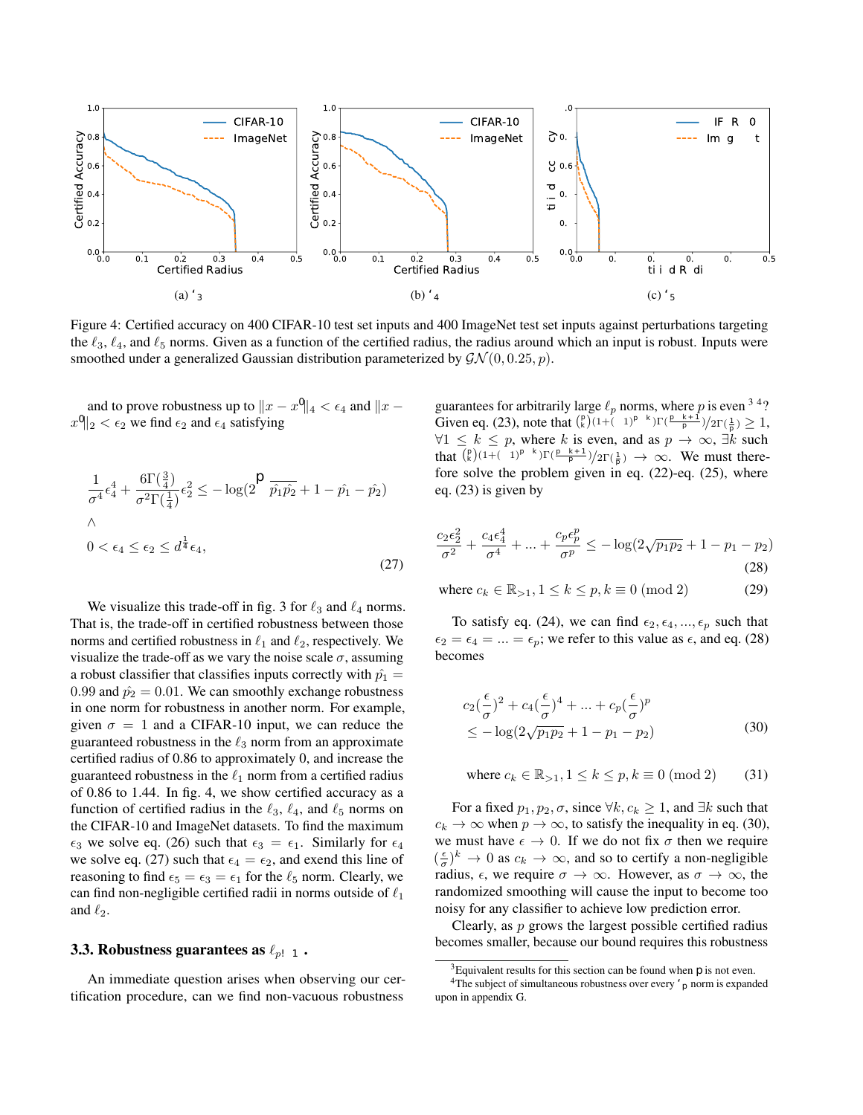#### A. Lower bounds for common divergences between multinomial distributions

Firstly, we present the statement of the Rényi divergence bound given in Li *et al*. [26], and provide a full proof.

**Theorem A.1.** Let  $P = (p_1, ..., p_k)$  and  $Q = (q_1, ..., q_k)$  be two multinomial distributions over the same index set  $\{1, ..., k\}$ . *If the indexes of the largest probabilities do not match on*  $P$  *and*  $Q$ *, that is*  $\argmax_i p_i \neq \argmax_j q_j$ *, then* 

$$
d_{\alpha}(Q, P) \ge -\log\left(1 - p_1 - p_2 + \frac{1}{2}\left(p_1^{1-\alpha} + p_2^{1-\alpha}\right)\right)^{\frac{1}{1-\alpha}}\right)
$$
\n(32)

*where*  $p_1$  *and*  $p_2$  *are the first and second largest probabilities in*  $P$ *.* 

*Proof.* We can think of this problem as finding the distribution Q that minimizes  $d_{\alpha}(Q, P)$  such that  $\arg \max_i p_i \neq$ arg max<sub>j</sub>  $q_j$  for a fixed  $P = (p_1, ..., p_k)$ . Without loss of generality, assume  $p_1 \ge p_2 \ge ... \ge p_k$ .

This is equivalent to solving

$$
\min_{\sum q_i, \arg\max q_i \neq 1} \frac{1}{1-\alpha} \log \left( \sum_{1}^{k} p_i \left( \frac{q_i}{p_i} \right)^{\alpha} \right)
$$
(33)

As the logarithm is a monotonically increasing function, we only focus on the quantity  $s(Q, P) = \sum_{1}^{k} p_i(\frac{q_i}{p_i})^{\alpha}$  for a fixed α.

We first show for the Q that minimizes  $s(Q, P)$ , it must have  $q_1 = q_2 \ge q_3 \ge ... \ge q_k$ . Note here we allow a tie, because we can always let  $q_1 = q_1 - \kappa$  and  $q_2 = q_2 + \kappa$  for some small  $\kappa$  to satisfy arg max  $q_i \neq 1$  while not changing the Rényi divergence too much by the continuity of  $s(Q, P)$ .

If  $q_j$  >  $q_i$  for some  $j \ge i$ , we can define  $Q'$  by mutating  $q_i$  and  $q_j$ , that is  $Q' =$  $(q_1, ..., q_{i-1}, q_j, q_{i+1}, ..., q_{j-1}, q_i, q_{j+1}, ..., q_k)$ , then

$$
S(Q, P) - S(Q', P) = p_i \left( \frac{q_i^{\alpha} - q_j^{\alpha}}{p_i^{\alpha}} \right) + p_j \left( \frac{q_j^{\alpha} - q_i^{\alpha}}{p_j^{\alpha}} \right)
$$
(34)

$$
= (p_i^{1-\alpha} - p_j^{1-\alpha})(q_i^{\alpha} - q_j^{\alpha}) > 0
$$
\n(35)

which conflicts with the assumption that Q minimizes  $s(Q, P)$ . Thus  $q_i \ge q_j$  for  $j \ge i$ . Since  $q_1$  cannot be the largest, we have  $q_1 = q_2 \ge q_3 \ge ... \ge q_k$ .

Then we are able to assume  $Q = (q_0, q_0, q_3, ..., q_k)$ , and the problem can be formulated as

$$
\min_{q_0, q_3, \dots, q_k} p_1(\frac{q_0}{p_1})^{\alpha} + p_2(\frac{q_0}{p_2})^{\alpha} + \sum_{i=3}^k p_i(\frac{q_i}{p_i})^{\alpha}
$$
\n(36)

such that 
$$
2q_0 + \sum_{i=3}^{k} q_i = 1
$$
 (37)

such that  $q_i - q_0 \leq 0$   $i \geq 3$  (38)

$$
\text{such that } -q_i \le 0 \quad i \ge 0 \tag{39}
$$

which forms a set of KKT conditions. Let  $L$  denote the Lagrangian formulation of the problem

$$
p_1(\frac{q_0}{p_1})^{\alpha} + p_2(\frac{q_0}{p_2})^{\alpha} + \sum_{i=3}^k p_i(\frac{q_i}{p_i})^{\alpha} + \lambda(2q_0 + \sum_{i=3}^k q_i - 1) + \sum_{i=3}^k \mu_i(q_i - q_0) - \sum_{i=3}^k \beta_i q_i
$$
 (40)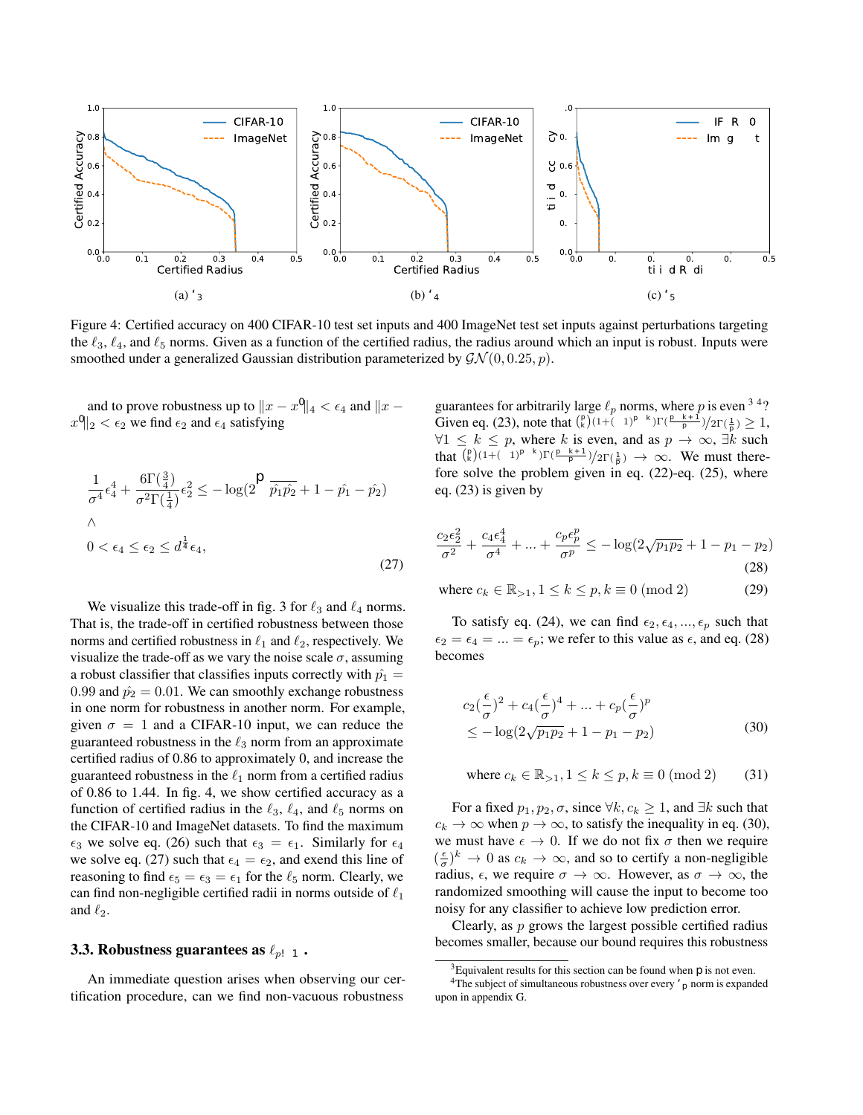Setting slack variables to zero and differentiating gives

$$
\frac{\partial L}{\partial q_0} = \alpha q_0^{\alpha - 1} (p_1^{1 - \alpha} + p_2^{1 - \alpha}) + 2\lambda = 0
$$
\n(41)

$$
\frac{\partial L}{\partial q_i} = \alpha \left(\frac{q_i}{p_i}\right)^{\alpha - 1} + \lambda = 0 \quad i \ge 3
$$
\n<sup>(42)</sup>

Equation (41) and eq. (42) imply

$$
q_0 = \left(\frac{-2\lambda}{\alpha(p_1^{1-\alpha} + p_2^{1-\alpha})}\right)^{\frac{1}{\alpha-1}}
$$
\n(43)

$$
q_i = \left(-\frac{\lambda}{\alpha}\right)^{\frac{1}{\alpha - 1}} p_i \quad i \ge 3 \tag{44}
$$

From the restriction that  $2q_0 + \sum_{i=3}^{k} q_i = 1$  it follows that

$$
\lambda = \frac{-\alpha}{\left(2\left(\frac{1}{2}(p_1^{1-\alpha} + p_2^{1-\alpha})\right)^{\frac{1}{1-\alpha}} + 1 - p_1 - p_2\right)^{\alpha - 1}}
$$
(45)

Let  $\eta = \left(\frac{p_1^{1-\alpha}+p_2^{1-\alpha}}{2}\right)^{\frac{1}{1-\alpha}}$ . Then it follows that

$$
q_0 = \frac{a}{2\eta + 1 - p_1 - p_2} \tag{46}
$$

$$
q_i = \frac{p_i}{2\eta - 1 - p_1 - p_2} \quad i \ge 3
$$
\n<sup>(47)</sup>

Using eq. (46) and eq. (47), Rényi divergence is minimized at

$$
\frac{1}{1-\alpha}\log\left(p_1(\frac{q_0}{p_1})^{\alpha} + p_2(\frac{q_0}{p_2})^{\alpha} + \sum_{i=3}^k p_i(\frac{q_i}{p_i})^{\alpha}\right)
$$
\n(48)

$$
= \frac{1}{1-\alpha} \log \left( \frac{2\eta^{1-\alpha}\eta^{\alpha}}{(2\eta+1-p_1-p_2)^{\alpha}} + \frac{1-p_1-p_2}{(2\eta+1-p_1-p_2)^{\alpha}} \right)
$$
(49)

$$
= -\log(2\eta + 1 - p_1 - p_2) \tag{50}
$$

 $\Box$ 

To find the certified area of robustness of an input using the KL divergence of the generalized Gaussian norm, we can make use of the following theorem.

**Theorem A.2.** Let  $P = (p_1, ..., p_k)$  and  $Q = (q_1, ..., q_k)$  be two multinomial distributions over the same index set  $1, ..., k$ . If *the indexes of the largest probabilities do not match on*  $P$  *and*  $Q$ *, that is*  $\argmax_i p_i \neq \argmax_j q_j$ *, then* 

$$
d_{KL}(Q, P) \ge -\log(2\sqrt{p_1 p_2} + 1 - p_1 - p_2)
$$
\n(51)

*where*  $p_1$  *and*  $p_2$  *are the first and second largest probabilities in*  $P$ *.* 

*Proof.* Using the same terminology as Theorem A.1, the problem can be stated as a set of KKT conditions given by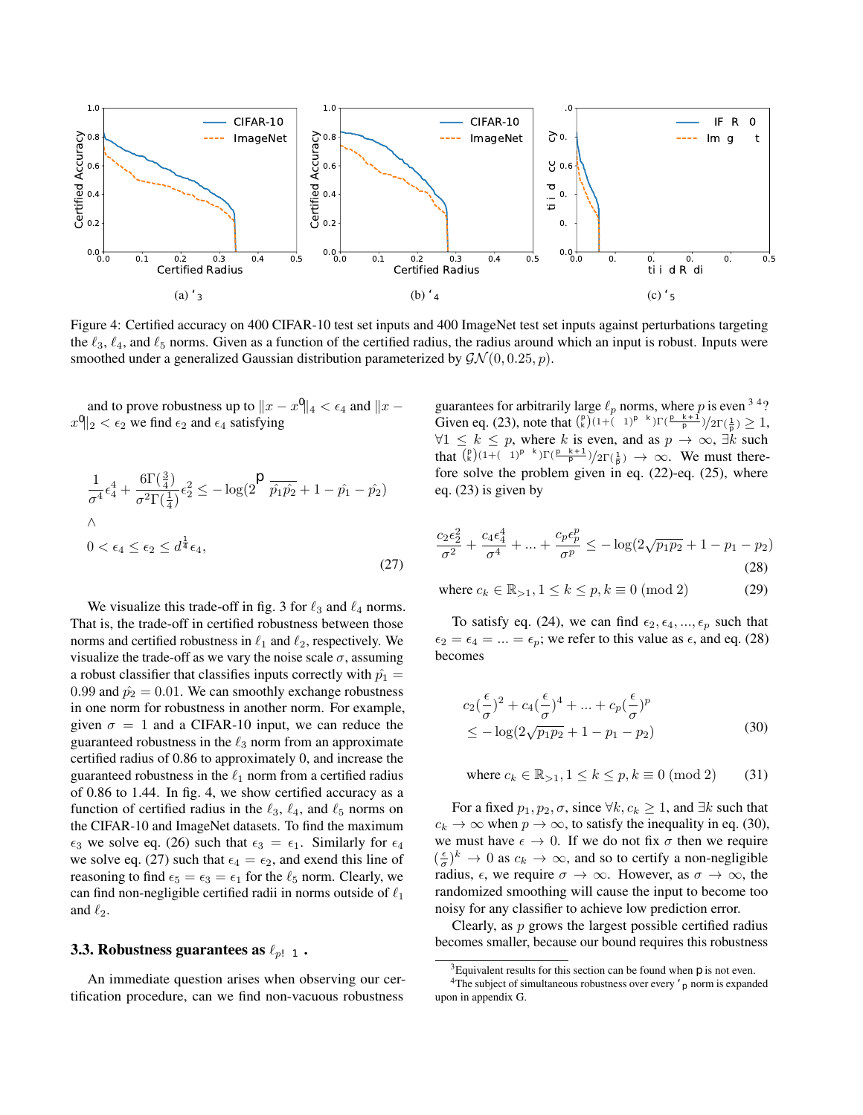$$
\min_{q_0, q_3, \dots, q_k} q_0 \log(\frac{q_0}{p_1}) + q_0 \log(\frac{q_0}{p_2}) + \sum_{i=3}^k q_i \log(\frac{q_i}{p_i}) \tag{52}
$$

such that 
$$
2q_0 + \sum_{i=3}^{k} q_i = 1
$$
 (53)

such that  $q_i - q_0 \le 0$   $i \ge 3$  (54)

such that 
$$
-q_i \leq 0 \quad i \geq 0 \tag{55}
$$

Let L denote

$$
p_1 \log(\frac{q_0}{p_1}) + p_2 \log(\frac{q_0}{p_2}) + \sum_{i=3}^{k} p_i \log(\frac{q_i}{p_i}) +
$$
\n(56)

$$
\lambda(2q_0 + \sum_{i=3}^{k} q_i - 1) + \sum_{i=3}^{k} \mu_i (q_i - q_0) - \sum_{i=3}^{k} \beta_i q_i
$$
\n
$$
(57)
$$

Setting slack variables to zero and differentiating gives

$$
\frac{\partial L}{\partial q_0} = \log(\frac{q_0}{p_1}) + \log(\frac{q_0}{p_2}) + 2\lambda + 2 = 0
$$
\n(58)

$$
\frac{\partial L}{\partial q_i} = \log(\frac{q_i}{p_i}) + \lambda + 1 = 0 \quad i \ge 3
$$
\n<sup>(59)</sup>

Combining eq. (58) and eq. (59) with the KKT conditions and solving for  $\lambda$  gives

$$
q_0 = \frac{\sqrt{p_1 p_2}}{\eta} \tag{60}
$$

$$
q_i = \frac{p_i}{\eta} \qquad i \ge 3 \tag{61}
$$

(62)

where  $\eta = 2\sqrt{p_1p_2} + 1 - p_1 - p_2$ . The minimized KL divergence is therefore  $-\log \eta$ .

**Theorem A.3.** Let  $P = (p_1, ..., p_k)$  and  $Q = (q_1, ..., q_k)$  be two multinomial distributions over the same index set  $1, ..., k$ . If *the indexes of the largest probabilities do not match on*  $P$  *and*  $Q$ *, that is*  $\argmax_i p_i \neq \argmax_j q_j$ *, then* 

$$
d_{H^2}(Q, P) \ge 1 - \sqrt{\frac{2 - (\sqrt{p_1} - \sqrt{p_2})^2}{2}} \tag{63}
$$

*where*  $p_1$  *and*  $p_2$  *are the first and second largest probabilities in*  $P$ *.* 

*Proof.* Using the same technique and terminology as in Theorem A.1, we find that

$$
q_0 = \frac{(\sqrt{p_1} + \sqrt{p_2})^2}{2\eta} \tag{64}
$$

$$
q_i = \frac{2p_i}{\eta} \qquad i \ge 3,\tag{65}
$$

(66)

 $\Box$ 

where  $\eta = 2 - (\sqrt{p_1} - \sqrt{p_2})^2$ . The minimized Hellinger distance is therefore  $1 - \sqrt{\frac{\eta}{2}}$ .

 $\Box$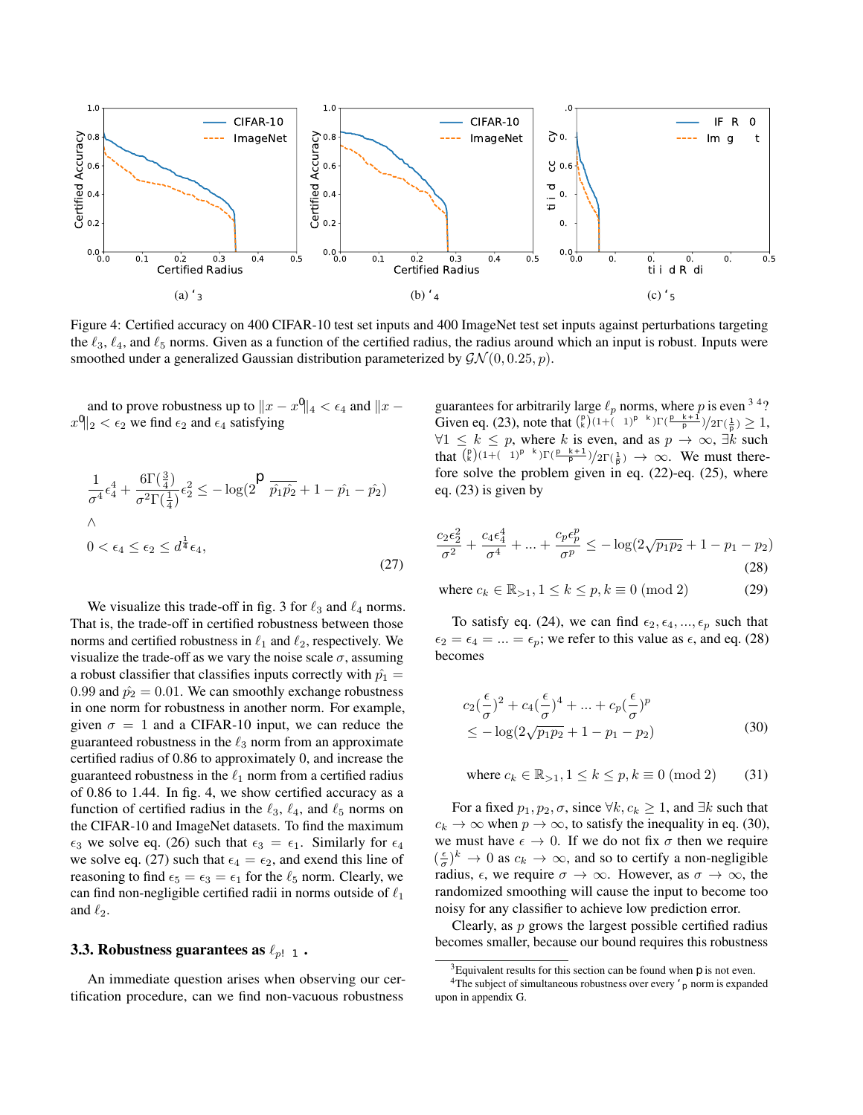**Theorem A.4.** Let  $P = (p_1, ..., p_k)$  and  $Q = (q_1, ..., q_k)$  be two multinomial distributions over the same index set 1, ..., k. If *the indexes of the largest probabilities do not match on*  $P$  *and*  $Q$ *, that is*  $\argmax_i p_i \neq \argmax_j q_j$ *, then* 

$$
d_{\chi^2}(Q, P) \ge \frac{(p_1 - p_2)^2}{(p_1 + p_2) - (p_1 - p_2)^2} \tag{67}
$$

*where*  $p_1$  *and*  $p_2$  *are the first and second largest probabilities in*  $P$ *.* 

*Proof.* Using the same technique and terminology as in Theorem A.1, we find that

$$
q_0 = \frac{2p_1p_2}{\eta} \tag{68}
$$

$$
q_i = \frac{p_1 + p_2}{\eta} p_i \qquad i \ge 3,\tag{69}
$$

(70)

 $\Box$ 

where  $\eta = (p_1 + p_2) - (p_1 - p_2)^2$ . The minimized chi-squared distance is therefore  $\frac{(p_1 - p_2)^2}{n}$  $\frac{-p_2)}{\eta}$  .

**Theorem A.5.** Let  $P = (p_1, ..., p_k)$  and  $Q = (q_1, ..., q_k)$  be two multinomial distributions over the same index set 1, ..., k. If *the indexes of the largest probabilities do not match on*  $P$  *and*  $Q$ *, that is*  $\argmax_i p_i \neq \argmax_j q_j$ *, then* 

$$
d_B(Q, P) \ge -\log\left(\sqrt{\frac{2\sqrt{p_1p_2} - p_1 - p_2 + 2}{2}}\right)
$$
\n(71)

*where*  $p_1$  *and*  $p_2$  *are the first and second largest probabilities in*  $P$ *.* 

*Proof.* Using the same technique and terminology as in Theorem A.1, we find that

$$
q_0 = \frac{(\sqrt{p_1} + \sqrt{p_2})^2}{2\eta} \tag{72}
$$

$$
q_i = \frac{2p_i}{\eta} \qquad i \ge 3,\tag{73}
$$

(74)

where  $\eta = 2\sqrt{p_1p_2} - p_1 - p_2 + 2$ . The minimized Bhattacharyya distance is therefore  $-log(\sqrt{\frac{\eta}{2}})$ .

 $\Box$ 

**Theorem A.6.** Let  $P = (p_1, ..., p_k)$  and  $Q = (q_1, ..., q_k)$  be two multinomial distributions over the same index set  $1, ..., k$ . If *the indexes of the largest probabilities do not match on*  $P$  *and*  $Q$ *, that is*  $\argmax_i p_i \neq \argmax_j q_j$ *, then* 

$$
d_{TV}(Q, P) \ge \frac{|p_1 - p_2|}{2} \tag{75}
$$

*where*  $p_1$  *and*  $p_2$  *are the first and second largest probabilities in*  $P$ *.* 

*Proof.* It is easy to see that  $d_{TV}(Q, P)$  is minimized when  $q_1 = q_2 = \frac{|p_1 + p_2|}{2}$  and  $q_i = p_i$  for  $i >= 3$ . This leads to the stated lower bound.

 $\Box$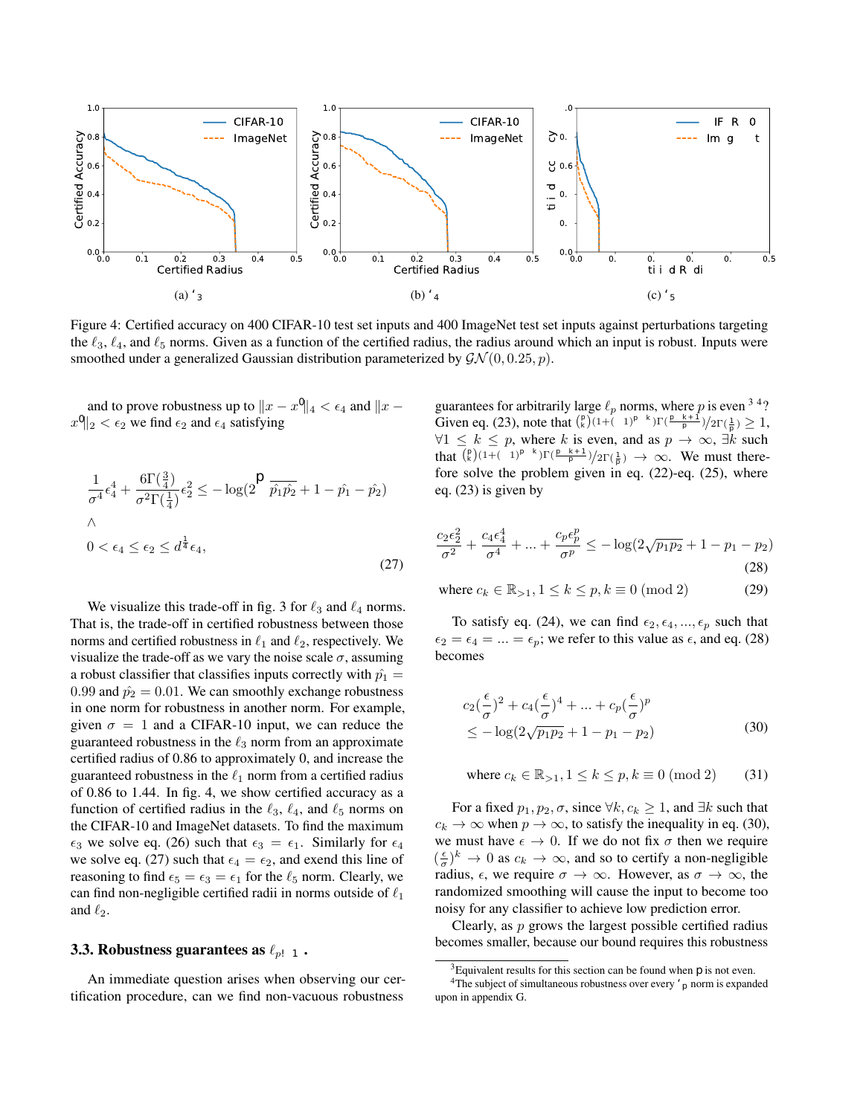Interestingly,  $d_{TV}$  appears naturally in the certificates found via randomized smoothing, as a consequences of being a special case of the hockey-stick divergence. Indeed, consider a binary classification task, with a given probabilistic classifier,  $f$ , and an input x. Let  $f_c$  denote the classifier's output at label c, which is the true label of x. Let  $\mu = \mu(x)$  denote the smoothing measure on input x, and  $\nu = \mu(x')$  denote the smoothing measure on input x', with a defined distance metric d such that  $d(\mu, \nu) < \epsilon$ . Then we can guarantee f outputs the same prediction on x' as on x if the following is larger than  $1/2$ 

$$
\min_{f_c} \mathbb{E}_{X \sim \nu}[f_c(X)] \qquad \text{subject to} \qquad \mathbb{E}_{X \sim \mu}[f_c(X)] = p_1, 0 \le f_c(x) \le 1 \tag{76}
$$

The dual relaxation of this problem is given by

$$
\max_{\lambda} \lambda p_1 + \min_{0 \le f_c \le 1} \mathbb{E}_{X \sim \nu}[f_c(X)] - \lambda \mathbb{E}_{X \sim \mu}[f_c(X)] \tag{77}
$$

The inner minimization term is commonly referred to as the hockey-stick divergence. Since any  $\lambda$  gives a valid lower bound bound to the primal problem, setting  $\lambda = 1$  gives

$$
p_1 - \max_{0 \le f_c \le 1} \mathbb{E}_{X \sim \mu}[f_c(X)] - \mathbb{E}_{X \sim \nu}[f_c(X)] \tag{78}
$$

$$
\geq p_1 - \max_{0 \leq f_c \leq 1} |\int_{\mathcal{X}} f_c d(\mu - \nu)| \tag{79}
$$

$$
\geq p_1 - \max_{0 \leq f_c \leq 1} \int_{\mathcal{X}} |f_c| d|\mu - \nu| \tag{80}
$$

$$
\geq p_1 - \int_{\mathcal{X}} d|\mu - \nu| \tag{81}
$$

$$
\geq p_1 - d_{TV}(\mu, \nu) \tag{82}
$$

Thus, the classifier predicts the same label on x' as on x if  $p_1 - d_{TV}(\mu, \nu) > 1/2$ .

# B. Visualization of certified radius (for  $\ell_2$  perturbations) found by  $d_{\alpha}$  and  $d_{\chi^2}$

Figure 6 visualizes the trade-off in certified radius around an input for a hypothetical binary classification task as a function of the classifier's top output probability,  $p_1$ . The certified radii are found using the Rényi divergence and chi-squared distance. The difference between these two certified radii is small; for  $p_1 \le 0.99$ , the largest difference between the two radii is 0.1.

# C. Proof of Proposition 1

*Proof.* We prove this for the binary case where  $p_2 = 1 - p_1$ .

1. Let us fix  $\alpha \in (1, \infty)$ . Then  $\epsilon_{d_{\alpha}} > \epsilon_{d_{\gamma^2}}$  when

$$
\sqrt{-\frac{2\sigma^2}{\alpha}\log\left(2\left(\frac{1}{2}(p_1^{1-\alpha}+(1-p_1)^{1-\alpha})\right)^{\frac{1}{1-\alpha}}\right)} > \sqrt{\sigma^2\log(\frac{1}{4p_1(1-p_1)})}
$$
(83)

$$
\iff -\frac{2}{\alpha} \log \left( 2\left(\frac{1}{2}(p_1^{1-\alpha} + (1-p_1)^{1-\alpha})\right)^{\frac{1}{1-\alpha}} \right) > \log(\frac{1}{4p_1(1-p_1)}) \tag{84}
$$

$$
\iff 4\left(\frac{1}{2}(p_1^{1-\alpha} + (1-p_1)^{1-\alpha})\right)^{\frac{2}{1-\alpha}} < (4p_1(1-p_1))^{\alpha} \tag{85}
$$

This holds  $\forall p_1 \in (\frac{1}{2}, 1)$  for example when  $\alpha = 1.1$  and so automatically holds for  $\alpha \in (1, \infty)$  that maximizes the expression.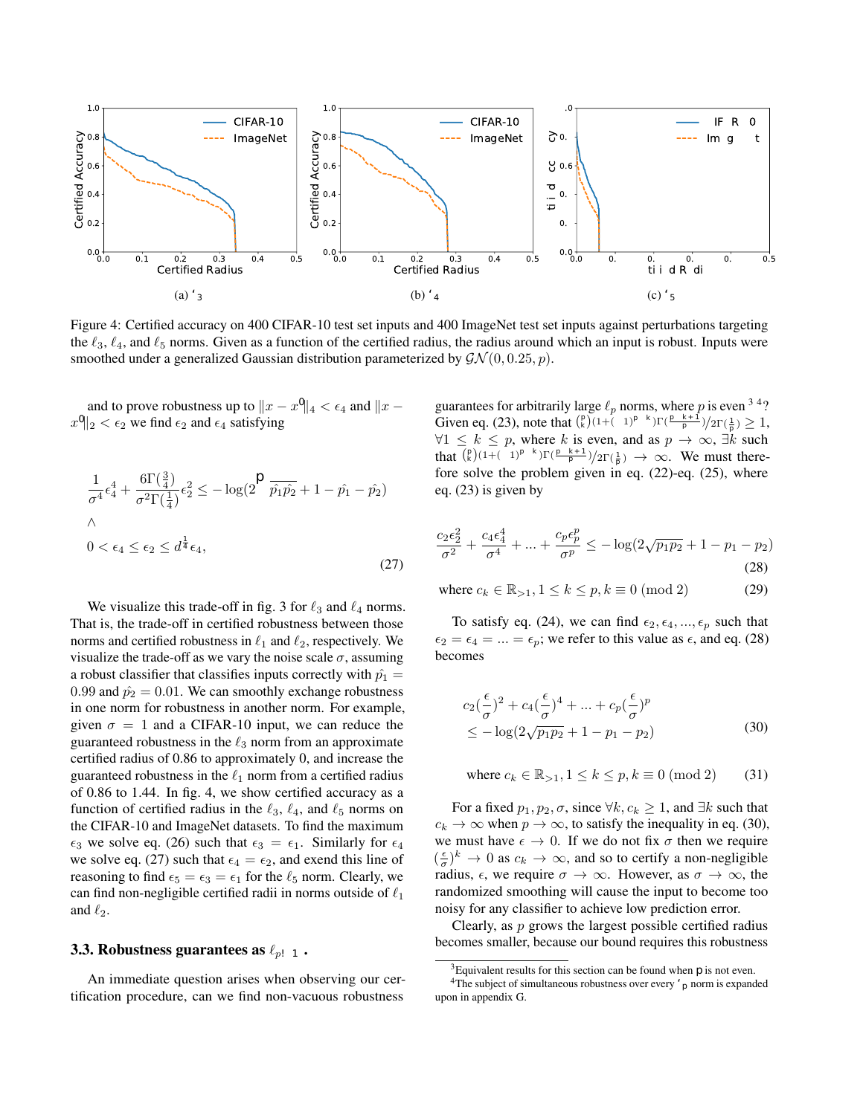

Figure 6: Comparison of the certified radius against perturbations targeting the  $\ell_2$  norm, for Rényi divergence  $(d_\alpha)$  and the chi-squared distance  $(d_{\chi^2})$ , as a function of the top predicted probability,  $p_1$ , with  $\sigma = 1$ .

2. If  $\epsilon_{d_{\chi^2}} > \epsilon_{d_{KL}}$ , then

$$
\sqrt{\sigma^2 \log(\frac{1}{4p_1(1-p_1)})} > \sqrt{-\sigma^2 \log(2\sqrt{p_1(1-p_1)})}
$$
\n(86)

$$
\iff \frac{1}{4p_1(1-p_1)} > \frac{1}{2\sqrt{p_1(1-p_1)}}\tag{87}
$$

$$
\iff (p_1 - \frac{1}{2})^2 > 0 \tag{88}
$$

$$
\implies p_1 > \frac{1}{2} \tag{89}
$$

3. If 
$$
\epsilon_{d_{\chi^2}} > \epsilon_{d_{H^2}}
$$
, then

$$
\sqrt{\sigma^2 \log(\frac{1}{4p_1(1-p_1)})} > \sqrt{-8\sigma^2 \log(\sqrt{\frac{2-\sqrt{p_1(1-p_1)}}{2}})}
$$
\n(90)

$$
\iff \frac{1}{4p_1(1-p_1)} > \frac{2^4}{(1+2\sqrt{p_1(1-p_1)})^4} \tag{91}
$$

$$
\iff (1 + 2\sqrt{p_1(1 - p_1)})^4 > 2^6 p_1(1 - p_1) \tag{92}
$$

$$
\implies p_1 > \frac{1}{2} \tag{93}
$$

$$
(94)
$$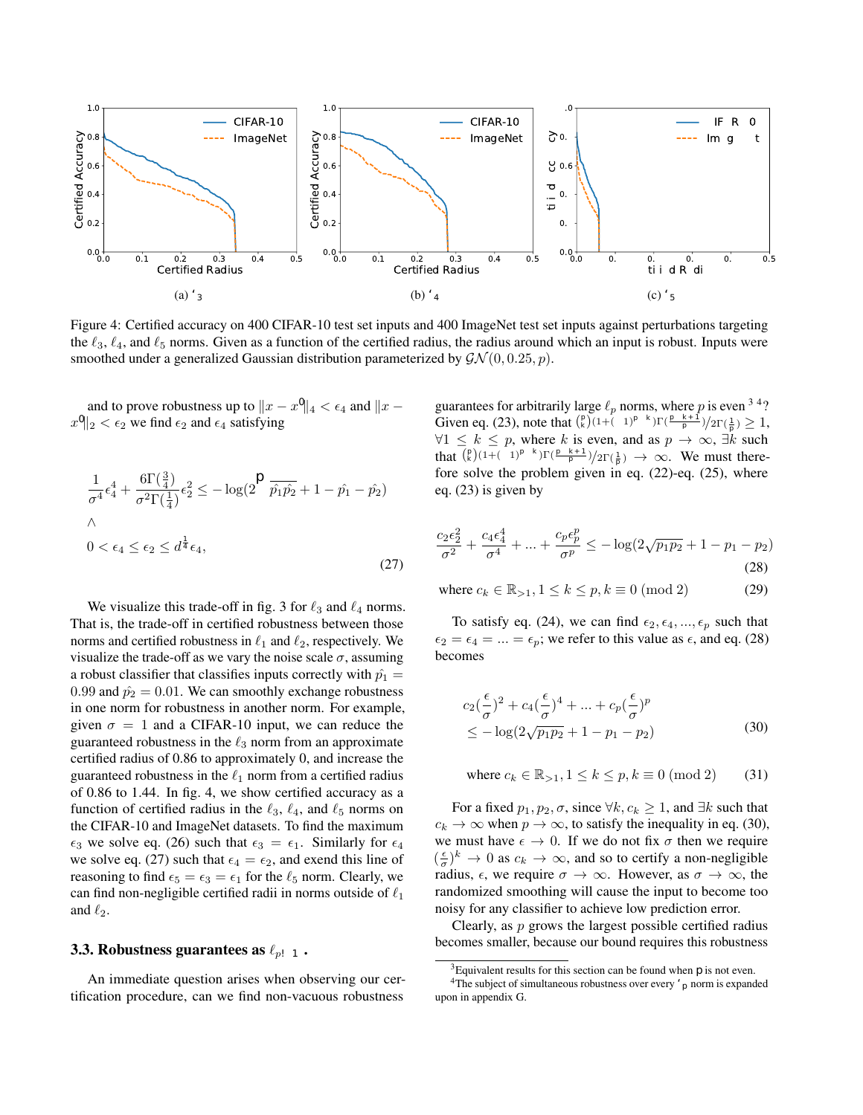4. We show the inner logarithmic terms in  $\epsilon_{d_H2}$  and  $\epsilon_{d_B}$  are equal, which suffices to prove equality in general. The inner logarithmic term of  $\epsilon_{d_{H^2}}$  is

$$
\sqrt{\frac{1+2\sqrt{p_1(1-p_1)}}{2}}\tag{95}
$$

$$
=\frac{1+2\sqrt{p_1(1-p_1)}}{\sqrt{2(1+2\sqrt{p_1(1-p_1)})}}\tag{96}
$$

$$
=\frac{(\sqrt{p_1} + \sqrt{1 - p_1})^2}{\sqrt{2(1 + 2\sqrt{p_1(1 - p_1)})}}
$$
(97)

The last term is equal to inner logarithmic term in  $\epsilon_{d_B}$  and so we have  $\epsilon_{d_{H2}} = \epsilon_{d_B}$ .

5. If  $\epsilon_{d_H2} > \epsilon_{d_{KL}}$ , then

$$
\sqrt{-8\sigma^2 \log(\sqrt{\frac{2-\sqrt{p_1(1-p_1)}}{2}})} > \sqrt{\sigma^2 \log(2\sqrt{p_1(1-p_1)})}
$$
(98)

$$
\iff 2^5 \sqrt{p_1(1-p_1)} > (1 + 2\sqrt{p_1(1-p_1)})^4 \tag{99}
$$

$$
(100)
$$

This last term has solutions in  $p_1 \in (\frac{1}{2}, 0.998)$ .

6. Let us fix  $\beta \in (0, \min(1, \frac{1}{2} \log(\frac{p_1}{1-p_1}))]$ , then  $\epsilon_{d_{KL}} > \epsilon_{24}$  when

$$
\sqrt{-\sigma^2 \log(2\sqrt{p_1(1-p_1)})} > \frac{\sigma \beta}{\sqrt{2\log(\frac{1.25(1+e^{\beta})}{p_1(1+e^{2\beta})-e^{2\beta})}}}
$$
(101)

$$
\iff \beta^2 + 2\log\left(\frac{1.25(1+e^{\beta})}{p_1(1+e^{2\beta})-e^{2\beta}}\right) \log(2\sqrt{p_1(1-p_1)}) < 0 \tag{102}
$$

This last term holds for any  $p \in (\frac{1}{2}, 1)$ .

 $\Box$ 

(103)

## D. KL divergence of the generalized Gaussian distribution

Here, we give a proof of the claim stated in eq. (14).

**Theorem D.1.** Let  $p_1$  and  $p_2$  be the pdf's of two generalized Gaussians with parameters ( $\mu_1$ ,  $\sigma$ ,  $s$ ) and ( $\mu_2$ ,  $\sigma$ ,  $s$ ), respectively. *Then*  $d_{KL}(p_1, p_2)$  *is given by* 

$$
\sum_{k=1}^{s} {s \choose k} \frac{(1+(-1)^{s-k})\Gamma(\frac{s-k+1}{s})(\mu_1 - \mu_2)^k}{2\sigma^k \Gamma(\frac{1}{s})}
$$
(104)

*Proof.*

$$
d_{KL}(p_1, p_2) = \sum p_1 \log \left(\frac{p_1}{p_2}\right)
$$
\n(105)

$$
= \sum k_1 e^{-\left|\frac{x-\mu_1}{\sigma}\right|^s} \log \left(\frac{k_1 e^{-\left|\frac{x-\mu_1}{\sigma}\right|^s}}{k_2 e^{-\left|\frac{x-\mu_2}{\sigma}\right|^s}}\right) \tag{106}
$$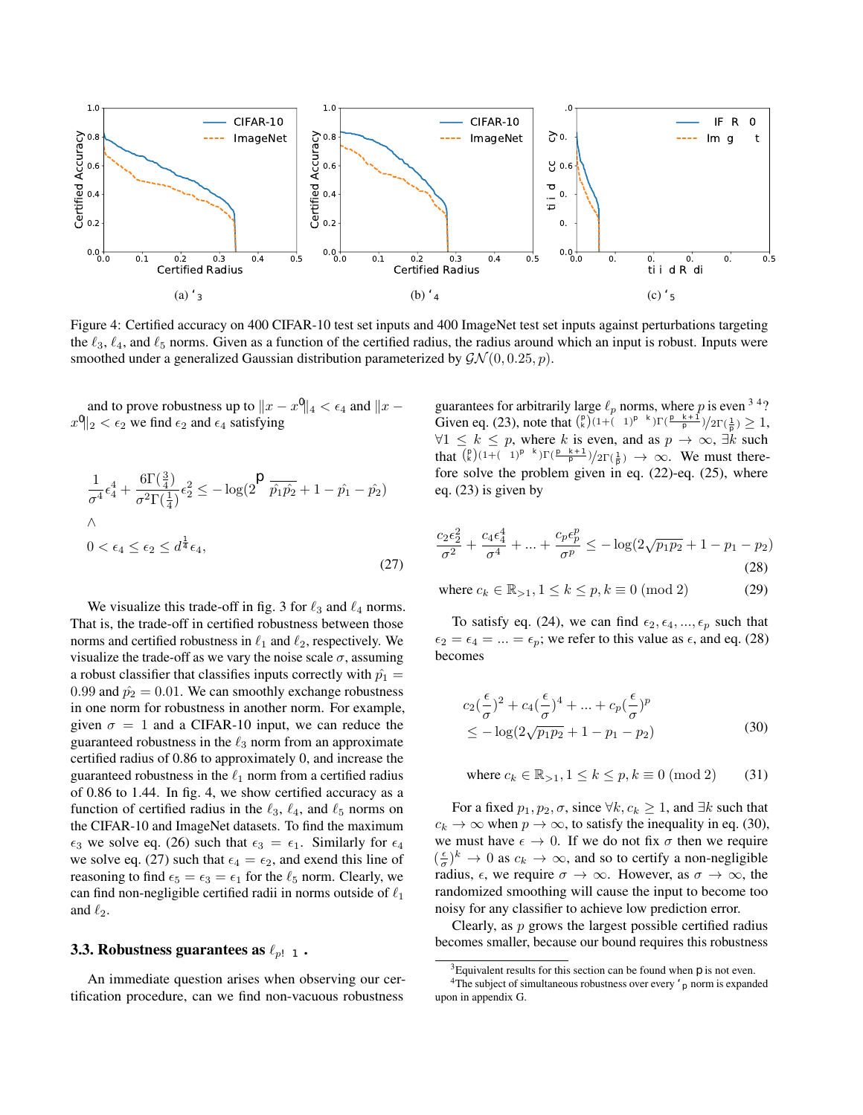Where  $k_1 = k_2 = \frac{s}{2\sigma \Gamma(\frac{1}{s})}$ . Thus eq. (106) is equal to

$$
\sum k_1 e^{-\left|\frac{x-\mu_1}{\sigma}\right|^s} \log \left(\frac{e^{-\left|\frac{x-\mu_1}{\sigma}\right|^s}}{e^{-\left|\frac{x-\mu_2}{\sigma}\right|^s}}\right) \tag{107}
$$

$$
= \mathbb{E}_{p_1} \left[ \left( \frac{x - \mu_2}{\sigma} \right)^s - \left( \frac{x - \mu_1}{\sigma} \right)^s \right] \tag{108}
$$

$$
= \frac{1}{\sigma^s} \mathbb{E}_{p_1} \left[ (x - \mu_2)^s - (x - \mu_1)^s \right] \tag{109}
$$

Note that  $(x - \mu_2)^s = \sum_{k=0}^s {s \choose k} x^{s-k} (-\mu_2)^k$ . Thus eq. (109) is equal to

$$
\frac{1}{\sigma^{s}} \bigg[ \Big( \sum_{k=0}^{s} \binom{s}{k} \mu_{1}^{s-k} (-\mu_{2})^{k} \sum_{i=0}^{s-k} \binom{s-k}{i} \big(\frac{\sigma}{\mu_{1}}\big)^{i} (1+(-1)^{i}) \frac{\Gamma(\frac{i+1}{s})}{2\Gamma(\frac{1}{s})} \Big) - \Big( \sum_{k=0}^{s} \binom{s}{k} \mu_{1}^{s-k} (-\mu_{1})^{k} \sum_{i=0}^{s-k} \binom{s-k}{i} \big(\frac{\sigma}{\mu_{1}}\big)^{i} (1+(-1)^{i}) \frac{\Gamma(\frac{i+1}{s})}{2\Gamma(\frac{1}{s})} \Big) \bigg] \bigg]
$$
\n
$$
= \frac{1}{\pi} \bigg[ \big(\sum_{k=0}^{s} \binom{s}{k} \mu_{1}^{s-k} (-\mu_{2})^{k} \big) \bigg]
$$
\n(110)

$$
= \frac{1}{\sigma^{s}} \Biggl[ \Biggl( \sum_{k=0}^{s} \binom{s}{k} \mu_{1}^{s-k} (-\mu_{2})^{k} \Biggr] - \sum_{k=0}^{s} \binom{s}{k} \mu_{1}^{s-k} (-\mu_{2})^{k} \sum_{i=1}^{s-k} \binom{s-k}{i} \Biggl( \frac{\sigma}{\mu_{1}} \Biggr)^{i} (1 + (-1)^{i}) \frac{\Gamma(\frac{i+1}{s})}{2\Gamma(\frac{1}{s})} - \sum_{k=0}^{s} \binom{s}{k} \mu_{1}^{s-k} (-\mu_{1})^{k} - \sum_{k=0}^{s} \binom{s}{k} \mu_{1}^{s-k} (-\mu_{1})^{k} \sum_{i=1}^{s-k} \binom{s-k}{i} \Biggl( \frac{\sigma}{\mu_{1}} \Biggr)^{i} (1 + (-1)^{i}) \frac{\Gamma(\frac{i+1}{s})}{2\Gamma(\frac{1}{s})} \Biggr] - \frac{1}{\sigma^{s}} \Biggl[ (\mu_{1} - \mu_{2})^{s} + \sum_{k=0}^{s} \binom{s}{k} \mu_{1}^{s-k} (-\mu_{2})^{k} \sum_{i=1}^{s-k} \binom{s-k}{i} \Biggl( \frac{\sigma}{\mu_{1}} \Biggr)^{i} (1 + (-1)^{i}) \frac{\Gamma(\frac{i+1}{s})}{2\Gamma(\frac{1}{s})} - \sum_{k=0}^{s} \binom{s}{k} \mu_{1}^{s-k} (-\mu_{1})^{k} \sum_{i=1}^{s-k} \binom{s-k}{i} \Biggl( \frac{\sigma}{\mu_{1}} \Biggr)^{i} (1 + (-1)^{i}) \frac{\Gamma(\frac{i+1}{s})}{2\Gamma(\frac{1}{s})} \Biggr] - \frac{s}{\mu_{1}} \binom{s}{k} \mu_{1}^{s-k} (-\mu_{1})^{k} \sum_{i=1}^{s-k} \binom{s-k}{i} \Biggl( \frac{\sigma}{\mu_{1}} \Biggr)^{i} (1 + (-1)^{i}) \frac{\Gamma(\frac{i+1}{s})}{2\Gamma(\frac{1}{s})} \Biggr]
$$
(112)

Note that only even indices contribute to the summand in eq. (112) because of the  $(1 + (-1)^i)$  term and so can be written as

$$
\frac{1}{\sigma^s}(\mu_1 - \mu_2)^s + \frac{1}{\sigma^s} \Big( \sum_{k=1}^s \binom{s}{k} (\mu_1^{s-k}(-\mu_2)^k - \mu_1^{s-k}(-\mu_1)^k) \sum_{i>0}^{s-k} \binom{s-k}{i} (\frac{\sigma}{\mu_1})^i (1+(-1)^i) \frac{\Gamma(\frac{i+1}{s})}{2\Gamma(\frac{1}{s})} \Big)
$$
(113)

Note,  $k = 0 \implies (\mu_1{}^{s-k}(-\mu_2)^k - {\mu_1}^{s-k}(-\mu_1)^k) = 0$ , and so eq. (113) becomes

$$
\sum_{k=1}^{s} {s \choose k} \frac{(1+(-1)^{s-k})\Gamma(\frac{s-k+1}{s})(\mu_1 - \mu_2)^k}{2\sigma^k \Gamma(\frac{1}{s})}
$$
(114)

 $\Box$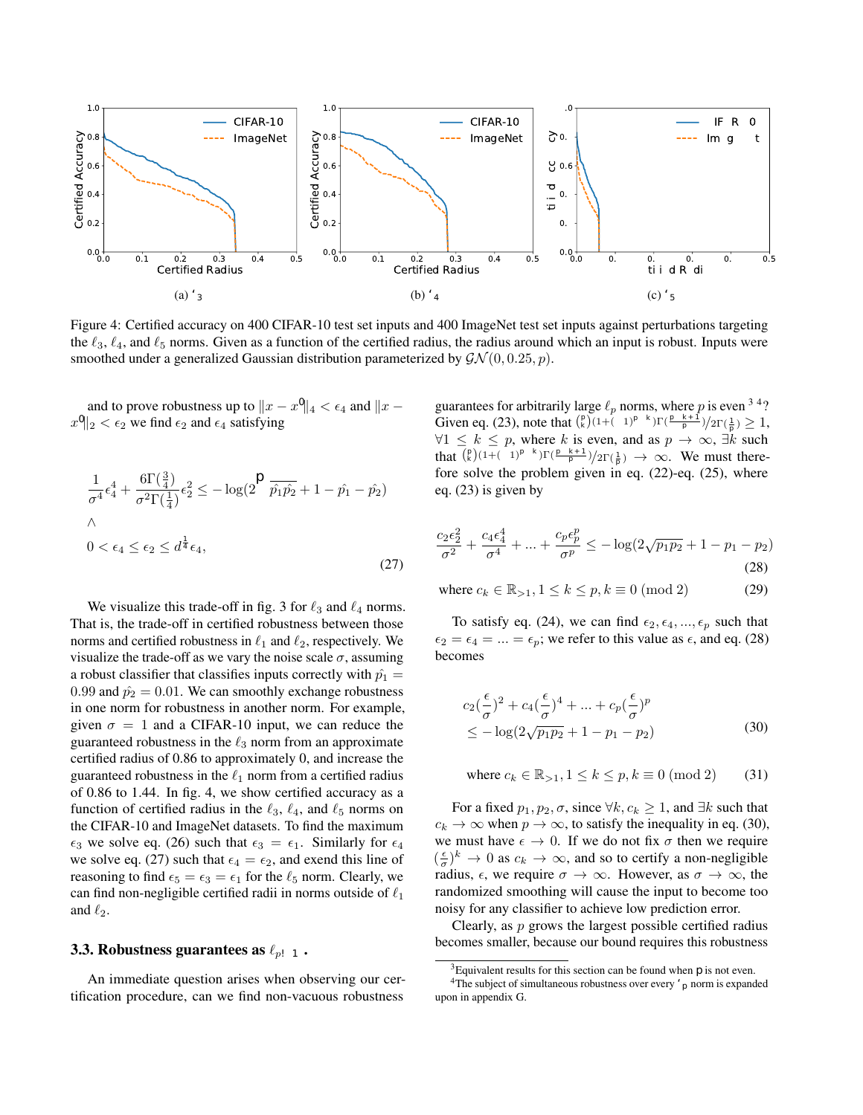

Figure 7: Certified accuracy against perturbations targeting the  $\ell_2$  norm for CIFAR-10. Given as a function of the certified radius, the radius around which an input is robust.

## E. How does  $\sigma$  affect the certification radius?

For 400 CIFAR-10 test set inputs, we certify inputs against  $\ell_2$  perturbations while varying the noise scale parameter  $\sigma^5$ . Figure 7 shows certified accuracy as a function of the certified area for  $\sigma = 0.25, 0.5, 1.0$ . This is the guaranteed classification accuracy under any perturbation smaller than the specified bound. Larger  $\sigma$  results in a larger certified area but suffers from lower standard classification accuracy – this corresponds to accuracy under a certified radius of 0. This mirrors the findings of Cohen *et al*. [10] and Tsipras *et al*. [32] who showed a trade-off between robustness and standard accuracy.

#### F. Samples smoothed with different forms of generalized Gaussian noise

In fig. 8, we visualize the smoothing of a generalized Gaussian over two random inputs from CIFAR-10 and ImageNet test sets. Figures 8a and 8e correspond to the non-smoothed versions of these two inputs, figs. 8b and 8f correspond to the inputs smoothed with generalized Gaussian noise sampled from  $\mathcal{GN}(0, 0.25, 1)$ . Similarly, figs. 8c and 8g correspond to the inputs smoothed with generalized Gaussian noise sampled from  $\mathcal{GN}(0, 0.25, 2)$ , and figs. 8d and 8h correspond to the inputs smoothed with generalized Gaussian noise sampled from  $\mathcal{GN}(0, 0.25, 3)$ . For each smoothed input, we state the size of the certified radius,  $\epsilon$  – upto this value the input is robust to adversarial perturbations in the specified  $\ell_p$  norm.

## G. An example of separability of optimal decision boundaries for different  $\ell_p$  norms

Khoury *et al.* [21] hypothesize that, in general, it is impossible for a classifier to be robust against all  $\ell_p$  norm attacks. They consider a toy example to demonstrate this: consider two *n*-dimensional spheres,  $X_1$  and  $X_2$ , both centered at the origin with radii  $r_1$  and  $r_2$ , respectively. They show that the optimal decision boundary between points on the spheres are distinct under the  $\ell_2$  and  $\ell_\infty$  norms. We extend this to arbitrary norms through Conjecture G.1. First, we define what we mean by an optimal decision boundary, state the conjecture and then give a draft of a proof that decision boundary separability extends to other norms.

<sup>&</sup>lt;sup>5</sup>Note, sampling from a generalized Gaussian distribution with scale  $\sigma$  and shape  $s = 2$ , is equivalent to sampling from a Gaussian distribution with scale σ/ √ 2.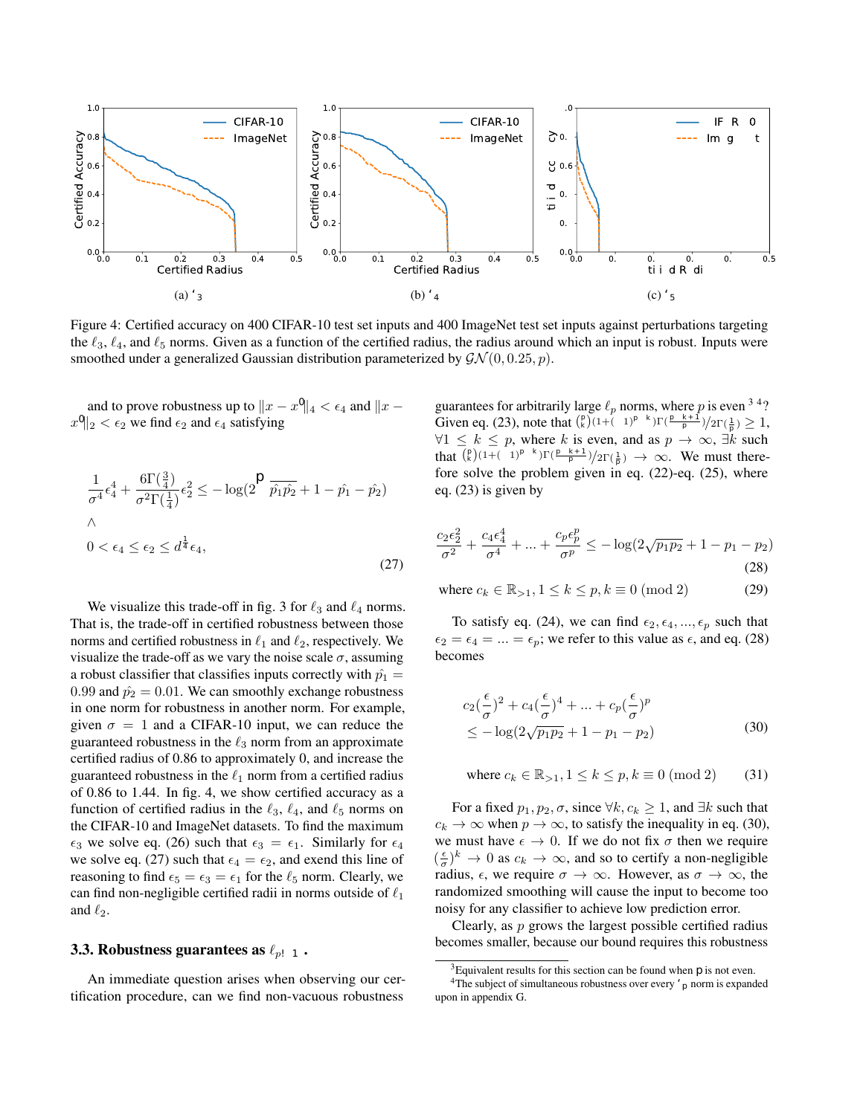

Figure 8: Two randomly chosen images from ImageNet (Top) and CIFAR-10 (Bottom). We give examples of noise from a generalized Gaussian distribution with  $s = 1, 2,$  and 3, and the maximum perturbation size,  $\epsilon$ , for which the classifier is certified to predict the correct class under  $\ell_1, \ell_2$ , and  $\ell_3$  based attacks.

Definition G.1. *Let* ∆ *be a set of points in* R <sup>n</sup>*. We say* ∆ separates X<sup>1</sup> *and* X<sup>2</sup> *if any continuous function* f *that passes through*  $X_1$  *and*  $X_2$  *also passes through*  $\Delta$ *.* 

**Definition G.2.** Let  $\Delta$  be any separator of  $X_1$  and  $X_2$ . Choose a point  $x \in \Delta$  and consider the ball  $\mathcal{B}_{\epsilon,p}(x) :=$  ${z| \in \geq |z-x|_p}$ . We call  $\Delta$  *a maximum separator if*  $\forall x \in \Delta$  *the following holds:*  $\forall \epsilon > 0, \exists m_1, m_2 \in \mathcal{B}_{\epsilon,p}(x)$ *, and* points  $y_1, y_2 \in X_1 \bigcup X_2$ , such that if  $y_1$  is the point that minimizes  $\|m_1 - y\|_p$  (where  $y \in X_1 \bigcup X_2$ ), then  $y_1 \in X_1$ , and *equivalently if*  $y_2$  *is the point that minimizes*  $\|m_2 - y\|_p$  *then*  $y_2 \in X_2$ *.* 

An example of a separator that is not maximal. Let  $\Delta = X_1$ . Then  $\exists x \in X_1$  and  $\epsilon > 0$  such that  $\forall z \in \mathcal{B}_{\epsilon}(x)$ , the points  $y \in X_1 \bigcup X_2$  that minimize  $||z - y||_p$  all lie on  $X_1$  (i.e.  $y \in X_1$  and  $y \notin X_2$ ).

**Conjecture G.1.** Let two concentric spheres  $X_1, X_2 \in \mathbb{R}^n$  have radii  $r_1, r_2$ , respectively. Then  $\forall p, q \geq 1$  with  $p \neq q$ ,  $\Delta_p \neq \Delta_q$ , where  $\Delta_p$  *denotes the maximal separator in the*  $\ell_p$  *norm.* 

We give a 'proof by example' in two dimensions, showing that  $\Delta_1 \neq \Delta_2 \neq \Delta_4 \neq \Delta_{\infty}$ , and prove that  $\Delta_1 \neq \Delta_2 \neq \Delta_{\infty}$ in *n*-dimensions. First, consider concentric circles  $X_1, X_2 \in \mathbb{R}^2$  with radii 1, 4, respectively.

 $\Delta_2$  defines a circle of radius  $\frac{5}{2}$ . In particular for  $p = (x, y)$ , when  $x = 0$ ,  $p \in \Delta_2$  has y-coordinate  $\frac{5}{2}$ . For  $\Delta_{\infty}$ , when  $x = 0$ , p has y-coordinate  $\frac{3+\sqrt{79}}{5}$ . To see this,  $B_{\epsilon,\infty}(m)$  with center  $m = (0, 1 + \kappa)$  touches  $X_2$  at  $q = (\kappa, 1 + 2\kappa)$ . At q we have  $\kappa^2 + (1 + 2\kappa)^2 = 4^2$ , and so  $\kappa = \frac{-2 + \sqrt{79}}{5}$ . Hence, at  $x = 0$ ,  $q \in \Delta_{\infty}$  has y-coordinate  $\frac{3 + \sqrt{79}}{5}$ .

To find y-coordinate when  $x = 0$  for a point  $q \in \Delta_4$ , we must solve

$$
x^2 + y^2 = 4^2 \tag{115}
$$

$$
x^4 + (y - (1 + \kappa))^4 = \kappa^4 \tag{116}
$$

Since  $\Delta_4$  is tangential to  $X_2$ , we must find the root of the determinant of  $(4^2 - y^2)^2 + (y - (1 + \kappa))^4 - \kappa^4 = 0$ . This an order 12 polynomial,